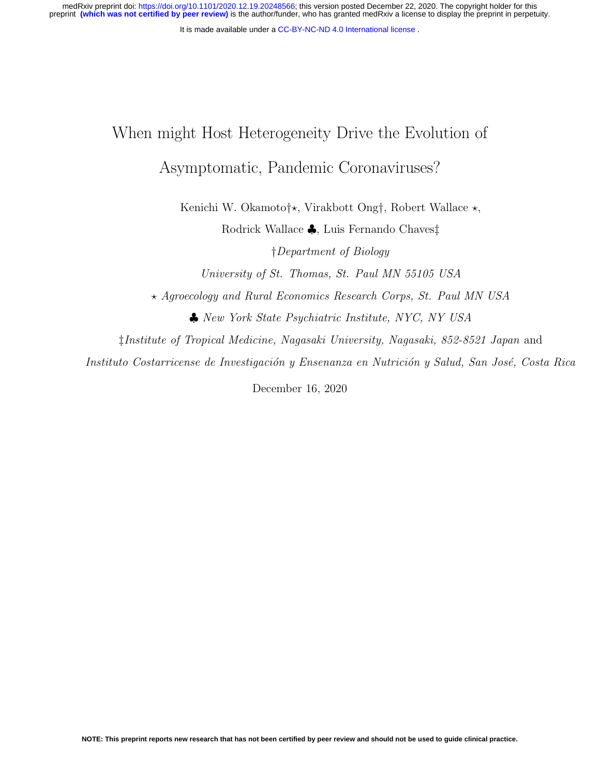medRxiv preprint doi: [https://doi.org/10.1101/2020.12.19.20248566;](https://doi.org/10.1101/2020.12.19.20248566) this version posted December 22, 2020. The copyright holder for this<br>preprint (which was not certified by peer review) is the author/funder, who has grante

It is made available under a CC-BY-NC-ND 4.0 International license.

# When might Host Heterogeneity Drive the Evolution of Asymptomatic, Pandemic Coronaviruses?

Kenichi W. Okamoto†\*, Virakbott Ong†, Robert Wallace  $\star$ , Rodrick Wallace ♣, Luis Fernando Chaves‡

†Department of Biology University of St. Thomas, St. Paul MN 55105 USA

? Agroecology and Rural Economics Research Corps, St. Paul MN USA

♣ New York State Psychiatric Institute, NYC, NY USA

‡Institute of Tropical Medicine, Nagasaki University, Nagasaki, 852-8521 Japan and

Instituto Costarricense de Investigación y Ensenanza en Nutrición y Salud, San José, Costa Rica

December 16, 2020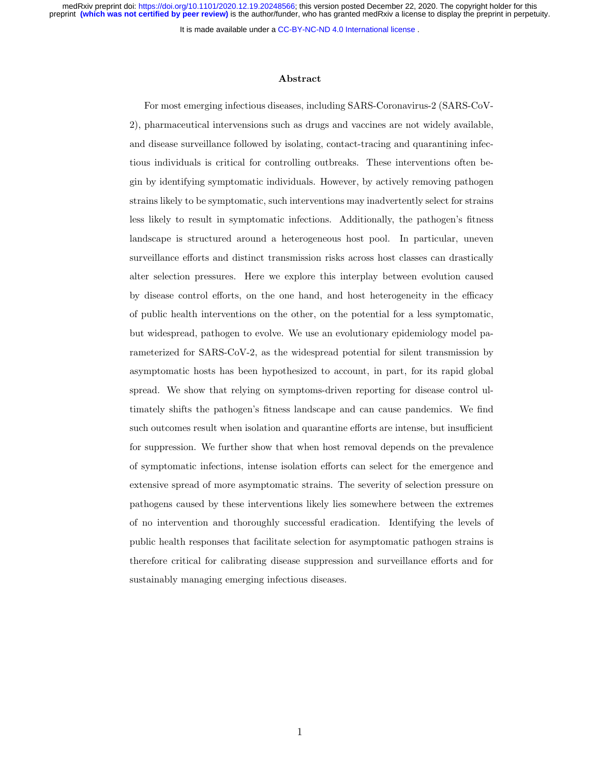medRxiv preprint doi: [https://doi.org/10.1101/2020.12.19.20248566;](https://doi.org/10.1101/2020.12.19.20248566) this version posted December 22, 2020. The copyright holder for this<br>preprint (which was not certified by peer review) is the author/funder, who has grante

It is made available under a CC-BY-NC-ND 4.0 International license.

#### Abstract

For most emerging infectious diseases, including SARS-Coronavirus-2 (SARS-CoV-2), pharmaceutical intervensions such as drugs and vaccines are not widely available, and disease surveillance followed by isolating, contact-tracing and quarantining infectious individuals is critical for controlling outbreaks. These interventions often begin by identifying symptomatic individuals. However, by actively removing pathogen strains likely to be symptomatic, such interventions may inadvertently select for strains less likely to result in symptomatic infections. Additionally, the pathogen's fitness landscape is structured around a heterogeneous host pool. In particular, uneven surveillance efforts and distinct transmission risks across host classes can drastically alter selection pressures. Here we explore this interplay between evolution caused by disease control efforts, on the one hand, and host heterogeneity in the efficacy of public health interventions on the other, on the potential for a less symptomatic, but widespread, pathogen to evolve. We use an evolutionary epidemiology model parameterized for SARS-CoV-2, as the widespread potential for silent transmission by asymptomatic hosts has been hypothesized to account, in part, for its rapid global spread. We show that relying on symptoms-driven reporting for disease control ultimately shifts the pathogen's fitness landscape and can cause pandemics. We find such outcomes result when isolation and quarantine efforts are intense, but insufficient for suppression. We further show that when host removal depends on the prevalence of symptomatic infections, intense isolation efforts can select for the emergence and extensive spread of more asymptomatic strains. The severity of selection pressure on pathogens caused by these interventions likely lies somewhere between the extremes of no intervention and thoroughly successful eradication. Identifying the levels of public health responses that facilitate selection for asymptomatic pathogen strains is therefore critical for calibrating disease suppression and surveillance efforts and for sustainably managing emerging infectious diseases.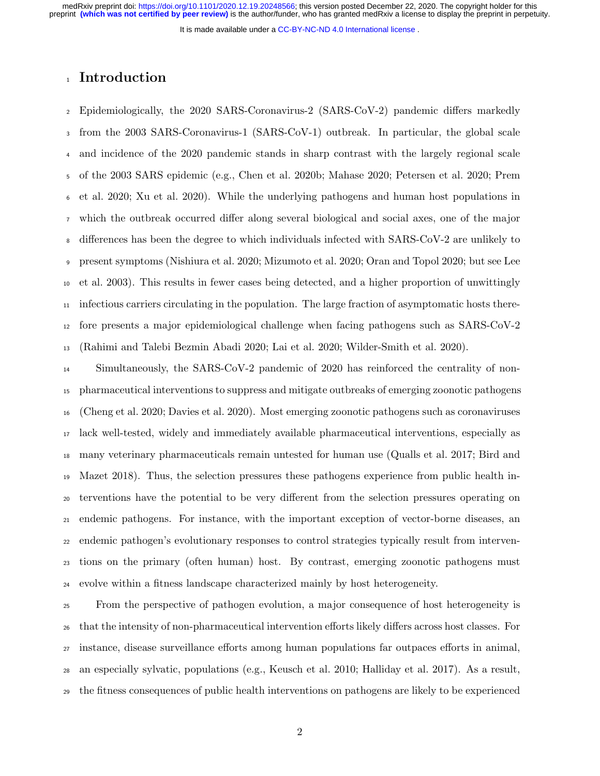It is made available under a CC-BY-NC-ND 4.0 International license.

# <sup>1</sup> Introduction

 Epidemiologically, the 2020 SARS-Coronavirus-2 (SARS-CoV-2) pandemic differs markedly from the 2003 SARS-Coronavirus-1 (SARS-CoV-1) outbreak. In particular, the global scale and incidence of the 2020 pandemic stands in sharp contrast with the largely regional scale of the 2003 SARS epidemic (e.g., Chen et al. 2020b; Mahase 2020; Petersen et al. 2020; Prem et al. 2020; Xu et al. 2020). While the underlying pathogens and human host populations in which the outbreak occurred differ along several biological and social axes, one of the major differences has been the degree to which individuals infected with SARS-CoV-2 are unlikely to present symptoms (Nishiura et al. 2020; Mizumoto et al. 2020; Oran and Topol 2020; but see Lee et al. 2003). This results in fewer cases being detected, and a higher proportion of unwittingly  $_{11}$  infectious carriers circulating in the population. The large fraction of asymptomatic hosts there- fore presents a major epidemiological challenge when facing pathogens such as SARS-CoV-2 (Rahimi and Talebi Bezmin Abadi 2020; Lai et al. 2020; Wilder-Smith et al. 2020).

 Simultaneously, the SARS-CoV-2 pandemic of 2020 has reinforced the centrality of non- pharmaceutical interventions to suppress and mitigate outbreaks of emerging zoonotic pathogens (Cheng et al. 2020; Davies et al. 2020). Most emerging zoonotic pathogens such as coronaviruses lack well-tested, widely and immediately available pharmaceutical interventions, especially as many veterinary pharmaceuticals remain untested for human use (Qualls et al. 2017; Bird and Mazet 2018). Thus, the selection pressures these pathogens experience from public health in- terventions have the potential to be very different from the selection pressures operating on endemic pathogens. For instance, with the important exception of vector-borne diseases, an endemic pathogen's evolutionary responses to control strategies typically result from interven- tions on the primary (often human) host. By contrast, emerging zoonotic pathogens must evolve within a fitness landscape characterized mainly by host heterogeneity.

 From the perspective of pathogen evolution, a major consequence of host heterogeneity is that the intensity of non-pharmaceutical intervention efforts likely differs across host classes. For instance, disease surveillance efforts among human populations far outpaces efforts in animal, an especially sylvatic, populations (e.g., Keusch et al. 2010; Halliday et al. 2017). As a result, the fitness consequences of public health interventions on pathogens are likely to be experienced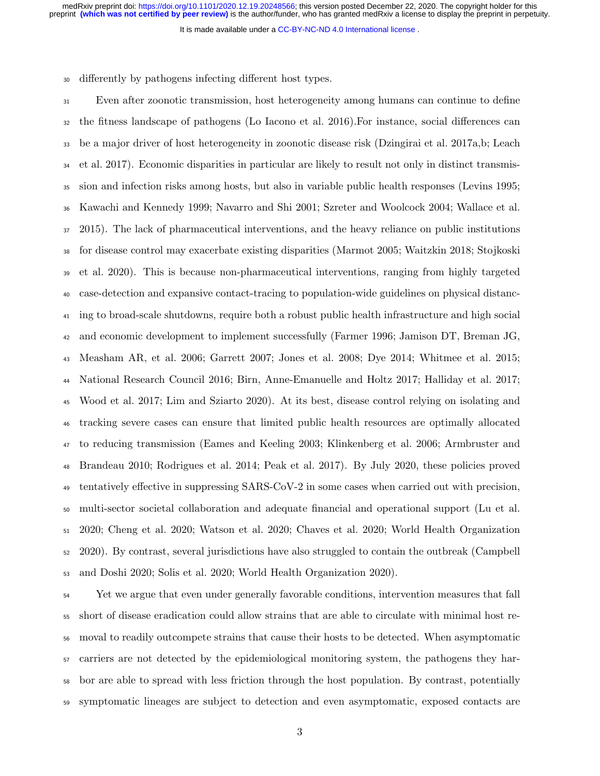It is made available under a CC-BY-NC-ND 4.0 International license.

differently by pathogens infecting different host types.

 Even after zoonotic transmission, host heterogeneity among humans can continue to define the fitness landscape of pathogens (Lo Iacono et al. 2016).For instance, social differences can be a major driver of host heterogeneity in zoonotic disease risk (Dzingirai et al. 2017a,b; Leach et al. 2017). Economic disparities in particular are likely to result not only in distinct transmis- sion and infection risks among hosts, but also in variable public health responses (Levins 1995; Kawachi and Kennedy 1999; Navarro and Shi 2001; Szreter and Woolcock 2004; Wallace et al. 2015). The lack of pharmaceutical interventions, and the heavy reliance on public institutions for disease control may exacerbate existing disparities (Marmot 2005; Waitzkin 2018; Stojkoski et al. 2020). This is because non-pharmaceutical interventions, ranging from highly targeted case-detection and expansive contact-tracing to population-wide guidelines on physical distanc- ing to broad-scale shutdowns, require both a robust public health infrastructure and high social and economic development to implement successfully (Farmer 1996; Jamison DT, Breman JG, Measham AR, et al. 2006; Garrett 2007; Jones et al. 2008; Dye 2014; Whitmee et al. 2015; National Research Council 2016; Birn, Anne-Emanuelle and Holtz 2017; Halliday et al. 2017; Wood et al. 2017; Lim and Sziarto 2020). At its best, disease control relying on isolating and tracking severe cases can ensure that limited public health resources are optimally allocated to reducing transmission (Eames and Keeling 2003; Klinkenberg et al. 2006; Armbruster and Brandeau 2010; Rodrigues et al. 2014; Peak et al. 2017). By July 2020, these policies proved tentatively effective in suppressing SARS-CoV-2 in some cases when carried out with precision, multi-sector societal collaboration and adequate financial and operational support (Lu et al. 2020; Cheng et al. 2020; Watson et al. 2020; Chaves et al. 2020; World Health Organization 2020). By contrast, several jurisdictions have also struggled to contain the outbreak (Campbell and Doshi 2020; Solis et al. 2020; World Health Organization 2020).

 Yet we argue that even under generally favorable conditions, intervention measures that fall short of disease eradication could allow strains that are able to circulate with minimal host re- moval to readily outcompete strains that cause their hosts to be detected. When asymptomatic carriers are not detected by the epidemiological monitoring system, the pathogens they har- bor are able to spread with less friction through the host population. By contrast, potentially symptomatic lineages are subject to detection and even asymptomatic, exposed contacts are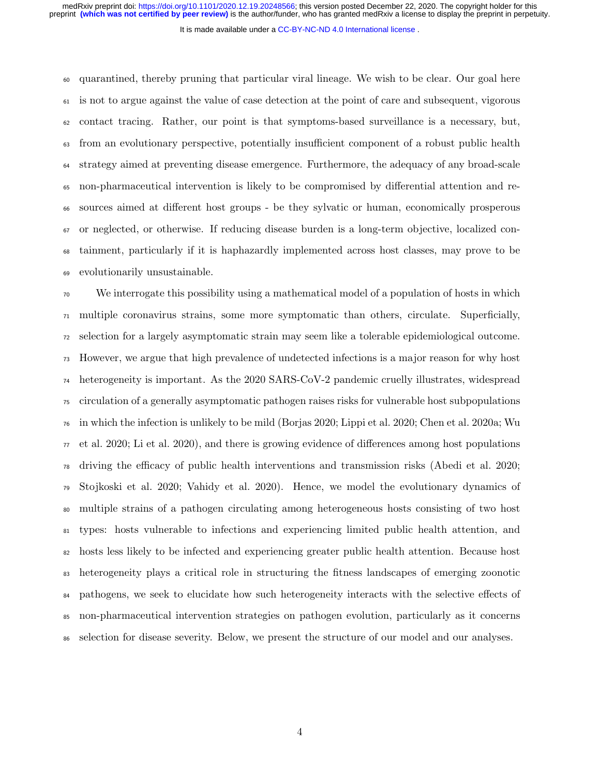It is made available under a CC-BY-NC-ND 4.0 International license.

 quarantined, thereby pruning that particular viral lineage. We wish to be clear. Our goal here is not to argue against the value of case detection at the point of care and subsequent, vigorous contact tracing. Rather, our point is that symptoms-based surveillance is a necessary, but, from an evolutionary perspective, potentially insufficient component of a robust public health strategy aimed at preventing disease emergence. Furthermore, the adequacy of any broad-scale non-pharmaceutical intervention is likely to be compromised by differential attention and re- sources aimed at different host groups - be they sylvatic or human, economically prosperous or neglected, or otherwise. If reducing disease burden is a long-term objective, localized con- tainment, particularly if it is haphazardly implemented across host classes, may prove to be evolutionarily unsustainable.

 We interrogate this possibility using a mathematical model of a population of hosts in which multiple coronavirus strains, some more symptomatic than others, circulate. Superficially, selection for a largely asymptomatic strain may seem like a tolerable epidemiological outcome. However, we argue that high prevalence of undetected infections is a major reason for why host heterogeneity is important. As the 2020 SARS-CoV-2 pandemic cruelly illustrates, widespread circulation of a generally asymptomatic pathogen raises risks for vulnerable host subpopulations in which the infection is unlikely to be mild (Borjas 2020; Lippi et al. 2020; Chen et al. 2020a; Wu  $\tau_7$  et al. 2020; Li et al. 2020), and there is growing evidence of differences among host populations driving the efficacy of public health interventions and transmission risks (Abedi et al. 2020; Stojkoski et al. 2020; Vahidy et al. 2020). Hence, we model the evolutionary dynamics of multiple strains of a pathogen circulating among heterogeneous hosts consisting of two host types: hosts vulnerable to infections and experiencing limited public health attention, and hosts less likely to be infected and experiencing greater public health attention. Because host heterogeneity plays a critical role in structuring the fitness landscapes of emerging zoonotic <sup>84</sup> pathogens, we seek to elucidate how such heterogeneity interacts with the selective effects of non-pharmaceutical intervention strategies on pathogen evolution, particularly as it concerns selection for disease severity. Below, we present the structure of our model and our analyses.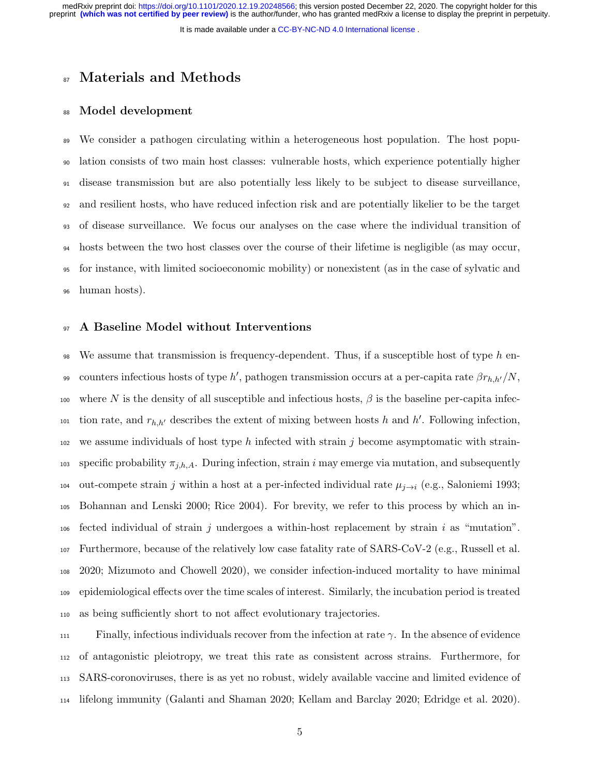It is made available under a CC-BY-NC-ND 4.0 International license.

## 87 Materials and Methods

#### Model development

 We consider a pathogen circulating within a heterogeneous host population. The host popu- lation consists of two main host classes: vulnerable hosts, which experience potentially higher disease transmission but are also potentially less likely to be subject to disease surveillance, and resilient hosts, who have reduced infection risk and are potentially likelier to be the target of disease surveillance. We focus our analyses on the case where the individual transition of hosts between the two host classes over the course of their lifetime is negligible (as may occur, for instance, with limited socioeconomic mobility) or nonexistent (as in the case of sylvatic and human hosts).

#### A Baseline Model without Interventions

98 We assume that transmission is frequency-dependent. Thus, if a susceptible host of type  $h$  en-99 counters infectious hosts of type h', pathogen transmission occurs at a per-capita rate  $\beta r_{h,h'}/N$ , 100 where N is the density of all susceptible and infectious hosts,  $\beta$  is the baseline per-capita infection rate, and  $r_{h,h'}$  describes the extent of mixing between hosts h and h'. Following infection, we assume individuals of host type h infected with strain j become asymptomatic with strain-103 specific probability  $\pi_{j,h,A}$ . During infection, strain i may emerge via mutation, and subsequently 104 out-compete strain j within a host at a per-infected individual rate  $\mu_{j\rightarrow i}$  (e.g., Saloniemi 1993; Bohannan and Lenski 2000; Rice 2004). For brevity, we refer to this process by which an in- fected individual of strain j undergoes a within-host replacement by strain i as "mutation". Furthermore, because of the relatively low case fatality rate of SARS-CoV-2 (e.g., Russell et al. 2020; Mizumoto and Chowell 2020), we consider infection-induced mortality to have minimal epidemiological effects over the time scales of interest. Similarly, the incubation period is treated as being sufficiently short to not affect evolutionary trajectories.

 Finally, infectious individuals recover from the infection at rate  $\gamma$ . In the absence of evidence of antagonistic pleiotropy, we treat this rate as consistent across strains. Furthermore, for SARS-coronoviruses, there is as yet no robust, widely available vaccine and limited evidence of lifelong immunity (Galanti and Shaman 2020; Kellam and Barclay 2020; Edridge et al. 2020).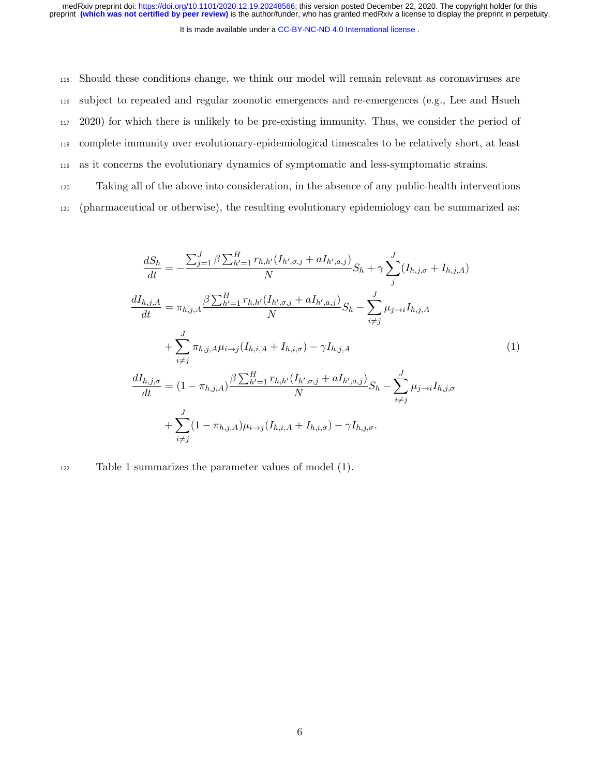It is made available under a CC-BY-NC-ND 4.0 International license. medRxiv preprint doi: [https://doi.org/10.1101/2020.12.19.20248566;](https://doi.org/10.1101/2020.12.19.20248566) this version posted December 22, 2020. The copyright holder for this<br>preprint (which was not certified by peer review) is the author/funder, who has grante

 Should these conditions change, we think our model will remain relevant as coronaviruses are subject to repeated and regular zoonotic emergences and re-emergences (e.g., Lee and Hsueh 2020) for which there is unlikely to be pre-existing immunity. Thus, we consider the period of complete immunity over evolutionary-epidemiological timescales to be relatively short, at least as it concerns the evolutionary dynamics of symptomatic and less-symptomatic strains.

<sup>120</sup> Taking all of the above into consideration, in the absence of any public-health interventions <sup>121</sup> (pharmaceutical or otherwise), the resulting evolutionary epidemiology can be summarized as:

$$
\frac{dS_h}{dt} = -\frac{\sum_{j=1}^{J} \beta \sum_{h'=1}^{H} r_{h,h'} (I_{h',\sigma,j} + aI_{h',a,j})}{N} S_h + \gamma \sum_{j}^{J} (I_{h,j,\sigma} + I_{h,j,A})
$$
\n
$$
\frac{dI_{h,j,A}}{dt} = \pi_{h,j,A} \frac{\beta \sum_{h'=1}^{H} r_{h,h'} (I_{h',\sigma,j} + aI_{h',a,j})}{N} S_h - \sum_{i \neq j}^{J} \mu_{j \to i} I_{h,j,A}
$$
\n
$$
+ \sum_{i \neq j}^{J} \pi_{h,j,A} \mu_{i \to j} (I_{h,i,A} + I_{h,i,\sigma}) - \gamma I_{h,j,A}
$$
\n
$$
\frac{dI_{h,j,\sigma}}{dt} = (1 - \pi_{h,j,A}) \frac{\beta \sum_{h'=1}^{H} r_{h,h'} (I_{h',\sigma,j} + aI_{h',a,j})}{N} S_h - \sum_{i \neq j}^{J} \mu_{j \to i} I_{h,j,\sigma}
$$
\n
$$
+ \sum_{i \neq j}^{J} (1 - \pi_{h,j,A}) \mu_{i \to j} (I_{h,i,A} + I_{h,i,\sigma}) - \gamma I_{h,j,\sigma}.
$$
\n(1)

<sup>122</sup> Table 1 summarizes the parameter values of model (1).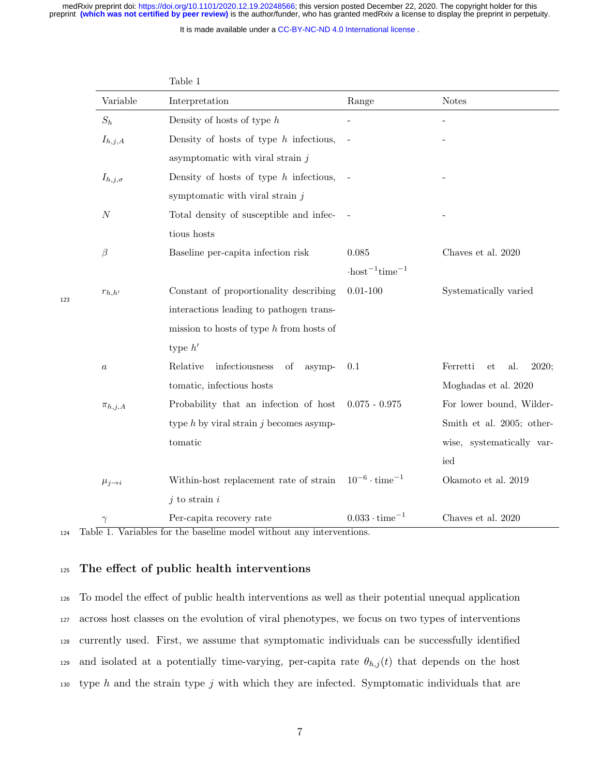medRxiv preprint doi: [https://doi.org/10.1101/2020.12.19.20248566;](https://doi.org/10.1101/2020.12.19.20248566) this version posted December 22, 2020. The copyright holder for this<br>preprint (which was not certified by peer review) is the author/funder, who has grante

It is made available under a CC-BY-NC-ND 4.0 International license.

| Variable         | Interpretation                              | Range                                         | <b>Notes</b>                   |
|------------------|---------------------------------------------|-----------------------------------------------|--------------------------------|
| $S_h$            | Density of hosts of type $h$                |                                               |                                |
| $I_{h,j,A}$      | Density of hosts of type $h$ infectious,    |                                               |                                |
|                  | asymptomatic with viral strain $j$          |                                               |                                |
| $I_{h,j,\sigma}$ | Density of hosts of type $h$ infectious,    |                                               |                                |
|                  | symptomatic with viral strain $j$           |                                               |                                |
| $\cal N$         | Total density of susceptible and infec-     |                                               |                                |
|                  | tious hosts                                 |                                               |                                |
| $\beta$          | Baseline per-capita infection risk          | 0.085                                         | Chaves et al. 2020             |
|                  |                                             | $\cdot$ host <sup>-1</sup> time <sup>-1</sup> |                                |
| $r_{h,h'}$       | Constant of proportionality describing      | $0.01 - 100$                                  | Systematically varied          |
|                  | interactions leading to pathogen trans-     |                                               |                                |
|                  | mission to hosts of type $h$ from hosts of  |                                               |                                |
|                  | type $h'$                                   |                                               |                                |
| $\boldsymbol{a}$ | infectiousness<br>Relative<br>of<br>asymp-  | 0.1                                           | Ferretti<br>2020;<br>al.<br>et |
|                  | tomatic, infectious hosts                   |                                               | Moghadas et al. 2020           |
| $\pi_{h,j,A}$    | Probability that an infection of host       | $0.075 - 0.975$                               | For lower bound, Wilder-       |
|                  | type $h$ by viral strain $j$ becomes asymp- |                                               | Smith et al. 2005; other-      |
|                  | tomatic                                     |                                               | wise, systematically var-      |
|                  |                                             |                                               | ied                            |
| $\mu_{j\to i}$   | Within-host replacement rate of strain      | $10^{-6} \cdot \text{time}^{-1}$              | Okamoto et al. 2019            |
|                  | $j$ to strain $i$                           |                                               |                                |
| $\gamma$         | Per-capita recovery rate                    | $0.033 \cdot \text{time}^{-1}$                | Chaves et al. 2020             |

Table 1

123

<sup>124</sup> Table 1. Variables for the baseline model without any interventions.

## <sup>125</sup> The effect of public health interventions

<sup>126</sup> To model the effect of public health interventions as well as their potential unequal application <sup>127</sup> across host classes on the evolution of viral phenotypes, we focus on two types of interventions <sup>128</sup> currently used. First, we assume that symptomatic individuals can be successfully identified 129 and isolated at a potentially time-varying, per-capita rate  $\theta_{h,j}(t)$  that depends on the host 130 type h and the strain type j with which they are infected. Symptomatic individuals that are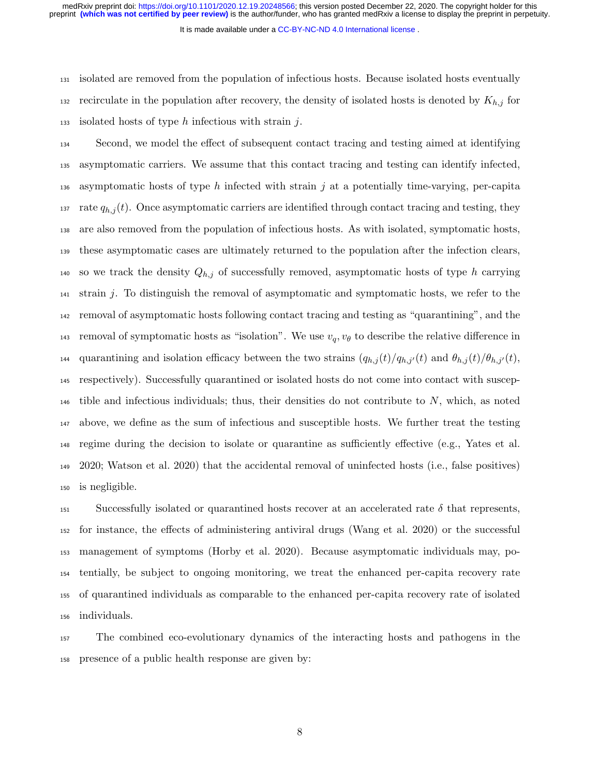It is made available under a CC-BY-NC-ND 4.0 International license.

 isolated are removed from the population of infectious hosts. Because isolated hosts eventually recirculate in the population after recovery, the density of isolated hosts is denoted by  $K_{h,j}$  for 133 isolated hosts of type h infectious with strain j.

 Second, we model the effect of subsequent contact tracing and testing aimed at identifying asymptomatic carriers. We assume that this contact tracing and testing can identify infected, 136 asymptomatic hosts of type h infected with strain j at a potentially time-varying, per-capita 137 rate  $q_{h,j}(t)$ . Once asymptomatic carriers are identified through contact tracing and testing, they are also removed from the population of infectious hosts. As with isolated, symptomatic hosts, these asymptomatic cases are ultimately returned to the population after the infection clears, 140 so we track the density  $Q_{h,j}$  of successfully removed, asymptomatic hosts of type h carrying strain j. To distinguish the removal of asymptomatic and symptomatic hosts, we refer to the removal of asymptomatic hosts following contact tracing and testing as "quarantining", and the 143 removal of symptomatic hosts as "isolation". We use  $v_q$ ,  $v_\theta$  to describe the relative difference in quarantining and isolation efficacy between the two strains  $(q_{h,j}(t)/q_{h,j'}(t))$  and  $\theta_{h,j}(t)/\theta_{h,j'}(t)$ , respectively). Successfully quarantined or isolated hosts do not come into contact with suscep-146 tible and infectious individuals; thus, their densities do not contribute to  $N$ , which, as noted above, we define as the sum of infectious and susceptible hosts. We further treat the testing regime during the decision to isolate or quarantine as sufficiently effective (e.g., Yates et al. 2020; Watson et al. 2020) that the accidental removal of uninfected hosts (i.e., false positives) is negligible.

151 Successfully isolated or quarantined hosts recover at an accelerated rate  $\delta$  that represents, for instance, the effects of administering antiviral drugs (Wang et al. 2020) or the successful management of symptoms (Horby et al. 2020). Because asymptomatic individuals may, po- tentially, be subject to ongoing monitoring, we treat the enhanced per-capita recovery rate of quarantined individuals as comparable to the enhanced per-capita recovery rate of isolated individuals.

 The combined eco-evolutionary dynamics of the interacting hosts and pathogens in the presence of a public health response are given by: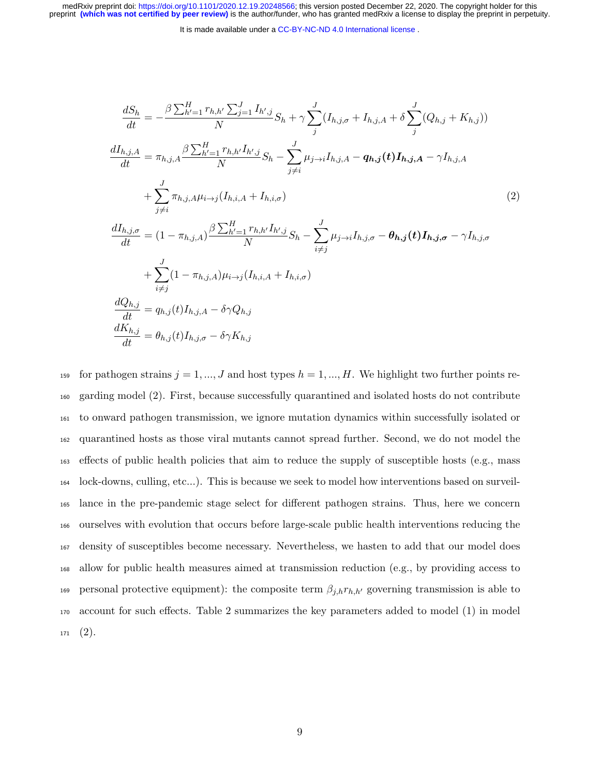It is made available under a CC-BY-NC-ND 4.0 International license.

$$
\frac{dS_h}{dt} = -\frac{\beta \sum_{h'=1}^{H} r_{h,h'} \sum_{j=1}^{J} I_{h',j}}{N} S_h + \gamma \sum_{j}^{J} (I_{h,j,\sigma} + I_{h,j,A} + \delta \sum_{j}^{J} (Q_{h,j} + K_{h,j}))
$$
\n
$$
\frac{dI_{h,j,A}}{dt} = \pi_{h,j,A} \frac{\beta \sum_{h'=1}^{H} r_{h,h'} I_{h',j}}{N} S_h - \sum_{j \neq i}^{J} \mu_{j \to i} I_{h,j,A} - q_{h,j} (t) I_{h,j,A} - \gamma I_{h,j,A}
$$
\n
$$
+ \sum_{j \neq i}^{J} \pi_{h,j,A} \mu_{i \to j} (I_{h,i,A} + I_{h,i,\sigma})
$$
\n
$$
\frac{dI_{h,j,\sigma}}{dt} = (1 - \pi_{h,j,A}) \frac{\beta \sum_{h'=1}^{H} r_{h,h'} I_{h',j}}{N} S_h - \sum_{i \neq j}^{J} \mu_{j \to i} I_{h,j,\sigma} - \theta_{h,j} (t) I_{h,j,\sigma} - \gamma I_{h,j,\sigma}
$$
\n
$$
+ \sum_{i \neq j}^{J} (1 - \pi_{h,j,A}) \mu_{i \to j} (I_{h,i,A} + I_{h,i,\sigma})
$$
\n
$$
\frac{dQ_{h,j}}{dt} = q_{h,j}(t) I_{h,j,A} - \delta \gamma Q_{h,j}
$$
\n
$$
\frac{dK_{h,j}}{dt} = \theta_{h,j}(t) I_{h,j,\sigma} - \delta \gamma K_{h,j}
$$
\n
$$
(2)
$$

159 for pathogen strains  $j = 1, ..., J$  and host types  $h = 1, ..., H$ . We highlight two further points re- garding model (2). First, because successfully quarantined and isolated hosts do not contribute to onward pathogen transmission, we ignore mutation dynamics within successfully isolated or quarantined hosts as those viral mutants cannot spread further. Second, we do not model the effects of public health policies that aim to reduce the supply of susceptible hosts (e.g., mass lock-downs, culling, etc...). This is because we seek to model how interventions based on surveil- lance in the pre-pandemic stage select for different pathogen strains. Thus, here we concern ourselves with evolution that occurs before large-scale public health interventions reducing the density of susceptibles become necessary. Nevertheless, we hasten to add that our model does allow for public health measures aimed at transmission reduction (e.g., by providing access to 169 personal protective equipment): the composite term  $\beta_{j,h}r_{h,h'}$  governing transmission is able to account for such effects. Table 2 summarizes the key parameters added to model (1) in model  $171 \quad (2).$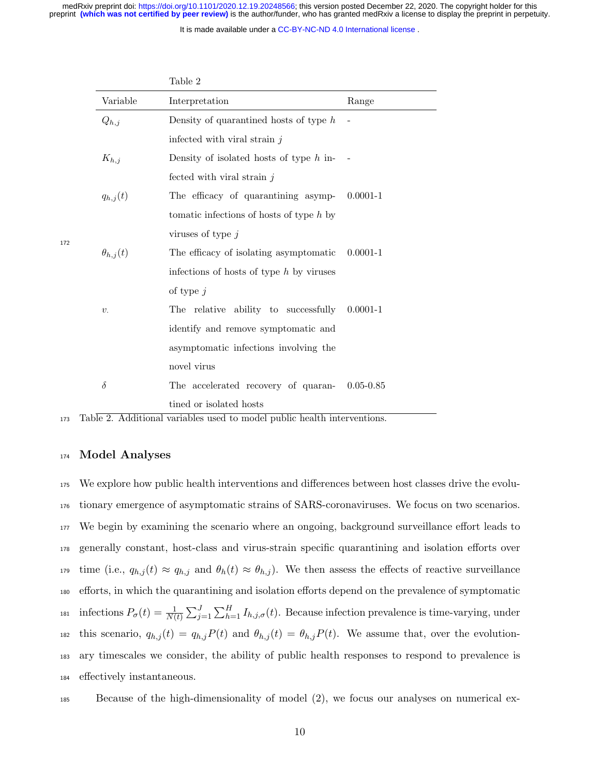It is made available under a CC-BY-NC-ND 4.0 International license.

|                   | Table 2                                    |               |
|-------------------|--------------------------------------------|---------------|
| Variable          | Interpretation                             | Range         |
| $Q_{h,j}$         | Density of quarantined hosts of type $h$   |               |
|                   | infected with viral strain $j$             |               |
| $K_{h,j}$         | Density of isolated hosts of type $h$ in-  |               |
|                   | fected with viral strain $j$               |               |
| $q_{h,j}(t)$      | The efficacy of quarantining asymp-        | $0.0001 - 1$  |
|                   | to the infections of hosts of type $h$ by  |               |
|                   | viruses of type $j$                        |               |
| $\theta_{h,j}(t)$ | The efficacy of isolating asymptomatic     | $0.0001 - 1$  |
|                   | infections of hosts of type $h$ by viruses |               |
|                   | of type $j$                                |               |
| $\upsilon$ .      | The relative ability to successfully       | $0.0001 - 1$  |
|                   | identify and remove symptomatic and        |               |
|                   | asymptomatic infections involving the      |               |
|                   | novel virus                                |               |
| $\delta$          | The accelerated recovery of quaran-        | $0.05 - 0.85$ |
|                   | tined or isolated hosts                    |               |

172

<sup>173</sup> Table 2. Additional variables used to model public health interventions.

### <sup>174</sup> Model Analyses

 We explore how public health interventions and differences between host classes drive the evolu- tionary emergence of asymptomatic strains of SARS-coronaviruses. We focus on two scenarios. We begin by examining the scenario where an ongoing, background surveillance effort leads to generally constant, host-class and virus-strain specific quarantining and isolation efforts over 179 time (i.e.,  $q_{h,j}(t) \approx q_{h,j}$  and  $\theta_h(t) \approx \theta_{h,j}$ ). We then assess the effects of reactive surveillance efforts, in which the quarantining and isolation efforts depend on the prevalence of symptomatic <sup>181</sup> infections  $P_{\sigma}(t) = \frac{1}{N(t)} \sum_{j=1}^{J} \sum_{h=1}^{H} I_{h,j,\sigma}(t)$ . Because infection prevalence is time-varying, under 182 this scenario,  $q_{h,j}(t) = q_{h,j} P(t)$  and  $\theta_{h,j}(t) = \theta_{h,j} P(t)$ . We assume that, over the evolution- ary timescales we consider, the ability of public health responses to respond to prevalence is effectively instantaneous.

<sup>185</sup> Because of the high-dimensionality of model (2), we focus our analyses on numerical ex-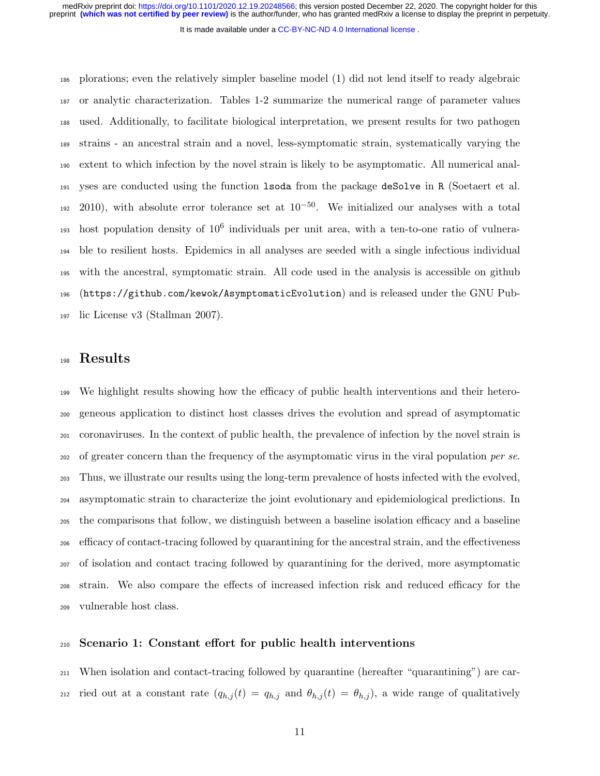It is made available under a CC-BY-NC-ND 4.0 International license.

 plorations; even the relatively simpler baseline model (1) did not lend itself to ready algebraic or analytic characterization. Tables 1-2 summarize the numerical range of parameter values used. Additionally, to facilitate biological interpretation, we present results for two pathogen strains - an ancestral strain and a novel, less-symptomatic strain, systematically varying the extent to which infection by the novel strain is likely to be asymptomatic. All numerical anal- yses are conducted using the function lsoda from the package deSolve in R (Soetaert et al. ), with absolute error tolerance set at  $10^{-50}$ . We initialized our analyses with a total  $\mu$ <sub>193</sub> host population density of  $10^6$  individuals per unit area, with a ten-to-one ratio of vulnera- ble to resilient hosts. Epidemics in all analyses are seeded with a single infectious individual with the ancestral, symptomatic strain. All code used in the analysis is accessible on github (https://github.com/kewok/AsymptomaticEvolution) and is released under the GNU Pub-lic License v3 (Stallman 2007).

## Results

 We highlight results showing how the efficacy of public health interventions and their hetero- geneous application to distinct host classes drives the evolution and spread of asymptomatic coronaviruses. In the context of public health, the prevalence of infection by the novel strain is <sup>202</sup> of greater concern than the frequency of the asymptomatic virus in the viral population *per se*. Thus, we illustrate our results using the long-term prevalence of hosts infected with the evolved, asymptomatic strain to characterize the joint evolutionary and epidemiological predictions. In the comparisons that follow, we distinguish between a baseline isolation efficacy and a baseline efficacy of contact-tracing followed by quarantining for the ancestral strain, and the effectiveness of isolation and contact tracing followed by quarantining for the derived, more asymptomatic strain. We also compare the effects of increased infection risk and reduced efficacy for the vulnerable host class.

## Scenario 1: Constant effort for public health interventions

 When isolation and contact-tracing followed by quarantine (hereafter "quarantining") are car-212 ried out at a constant rate  $(q_{h,j}(t) = q_{h,j}$  and  $\theta_{h,j}(t) = \theta_{h,j}$ , a wide range of qualitatively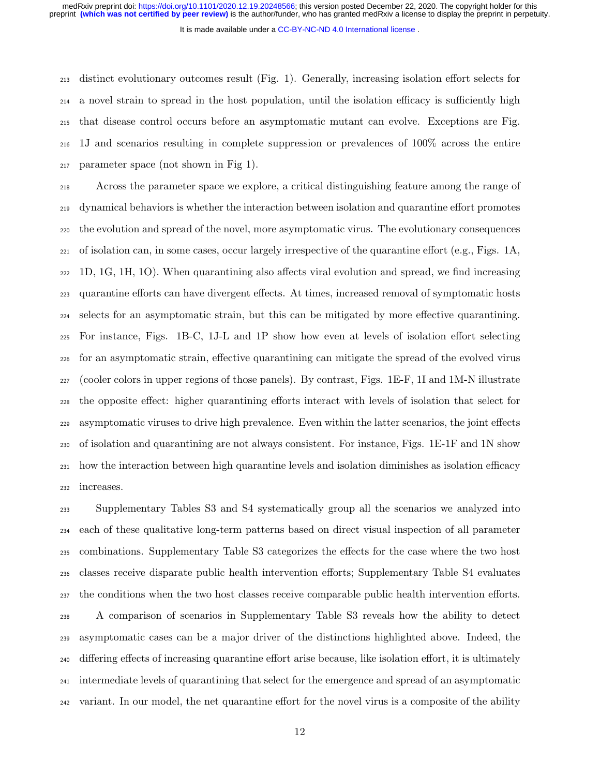It is made available under a CC-BY-NC-ND 4.0 International license.

 distinct evolutionary outcomes result (Fig. 1). Generally, increasing isolation effort selects for a novel strain to spread in the host population, until the isolation efficacy is sufficiently high that disease control occurs before an asymptomatic mutant can evolve. Exceptions are Fig. 1J and scenarios resulting in complete suppression or prevalences of 100% across the entire parameter space (not shown in Fig 1).

 Across the parameter space we explore, a critical distinguishing feature among the range of dynamical behaviors is whether the interaction between isolation and quarantine effort promotes the evolution and spread of the novel, more asymptomatic virus. The evolutionary consequences of isolation can, in some cases, occur largely irrespective of the quarantine effort (e.g., Figs. 1A, 1D, 1G, 1H, 1O). When quarantining also affects viral evolution and spread, we find increasing quarantine efforts can have divergent effects. At times, increased removal of symptomatic hosts selects for an asymptomatic strain, but this can be mitigated by more effective quarantining. For instance, Figs. 1B-C, 1J-L and 1P show how even at levels of isolation effort selecting for an asymptomatic strain, effective quarantining can mitigate the spread of the evolved virus (cooler colors in upper regions of those panels). By contrast, Figs. 1E-F, 1I and 1M-N illustrate the opposite effect: higher quarantining efforts interact with levels of isolation that select for asymptomatic viruses to drive high prevalence. Even within the latter scenarios, the joint effects of isolation and quarantining are not always consistent. For instance, Figs. 1E-1F and 1N show how the interaction between high quarantine levels and isolation diminishes as isolation efficacy increases.

 Supplementary Tables S3 and S4 systematically group all the scenarios we analyzed into each of these qualitative long-term patterns based on direct visual inspection of all parameter combinations. Supplementary Table S3 categorizes the effects for the case where the two host classes receive disparate public health intervention efforts; Supplementary Table S4 evaluates the conditions when the two host classes receive comparable public health intervention efforts. A comparison of scenarios in Supplementary Table S3 reveals how the ability to detect asymptomatic cases can be a major driver of the distinctions highlighted above. Indeed, the differing effects of increasing quarantine effort arise because, like isolation effort, it is ultimately intermediate levels of quarantining that select for the emergence and spread of an asymptomatic variant. In our model, the net quarantine effort for the novel virus is a composite of the ability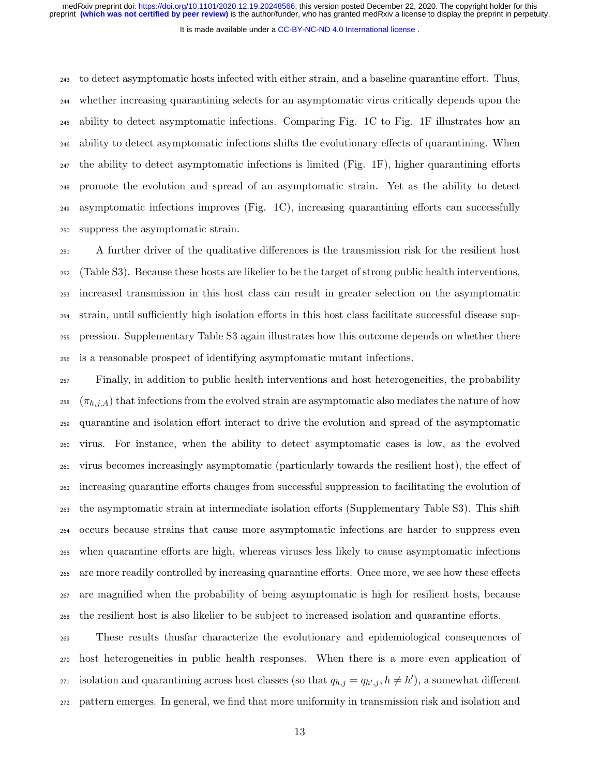It is made available under a CC-BY-NC-ND 4.0 International license.

 to detect asymptomatic hosts infected with either strain, and a baseline quarantine effort. Thus, whether increasing quarantining selects for an asymptomatic virus critically depends upon the ability to detect asymptomatic infections. Comparing Fig. 1C to Fig. 1F illustrates how an ability to detect asymptomatic infections shifts the evolutionary effects of quarantining. When  $_{247}$  the ability to detect asymptomatic infections is limited (Fig. 1F), higher quarantining efforts promote the evolution and spread of an asymptomatic strain. Yet as the ability to detect asymptomatic infections improves (Fig. 1C), increasing quarantining efforts can successfully suppress the asymptomatic strain.

 A further driver of the qualitative differences is the transmission risk for the resilient host (Table S3). Because these hosts are likelier to be the target of strong public health interventions, increased transmission in this host class can result in greater selection on the asymptomatic strain, until sufficiently high isolation efforts in this host class facilitate successful disease sup- pression. Supplementary Table S3 again illustrates how this outcome depends on whether there is a reasonable prospect of identifying asymptomatic mutant infections.

 Finally, in addition to public health interventions and host heterogeneities, the probability  $(\pi_{h,j,A})$  that infections from the evolved strain are asymptomatic also mediates the nature of how quarantine and isolation effort interact to drive the evolution and spread of the asymptomatic virus. For instance, when the ability to detect asymptomatic cases is low, as the evolved virus becomes increasingly asymptomatic (particularly towards the resilient host), the effect of increasing quarantine efforts changes from successful suppression to facilitating the evolution of the asymptomatic strain at intermediate isolation efforts (Supplementary Table S3). This shift occurs because strains that cause more asymptomatic infections are harder to suppress even when quarantine efforts are high, whereas viruses less likely to cause asymptomatic infections are more readily controlled by increasing quarantine efforts. Once more, we see how these effects are magnified when the probability of being asymptomatic is high for resilient hosts, because the resilient host is also likelier to be subject to increased isolation and quarantine efforts.

 These results thusfar characterize the evolutionary and epidemiological consequences of host heterogeneities in public health responses. When there is a more even application of isolation and quarantining across host classes (so that  $q_{h,j} = q_{h',j}, h \neq h'$ ), a somewhat different pattern emerges. In general, we find that more uniformity in transmission risk and isolation and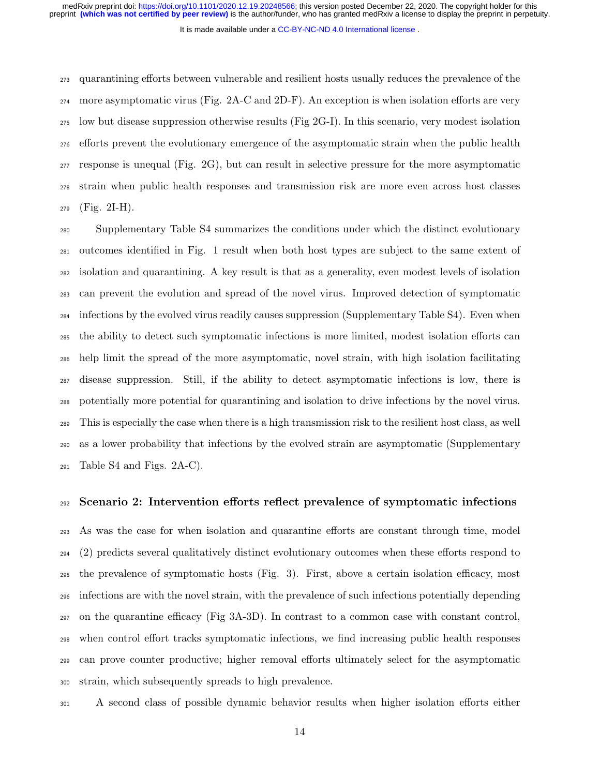It is made available under a CC-BY-NC-ND 4.0 International license.

 quarantining efforts between vulnerable and resilient hosts usually reduces the prevalence of the more asymptomatic virus (Fig. 2A-C and 2D-F). An exception is when isolation efforts are very low but disease suppression otherwise results (Fig 2G-I). In this scenario, very modest isolation efforts prevent the evolutionary emergence of the asymptomatic strain when the public health response is unequal (Fig. 2G), but can result in selective pressure for the more asymptomatic strain when public health responses and transmission risk are more even across host classes (Fig. 2I-H).

 Supplementary Table S4 summarizes the conditions under which the distinct evolutionary outcomes identified in Fig. 1 result when both host types are subject to the same extent of isolation and quarantining. A key result is that as a generality, even modest levels of isolation can prevent the evolution and spread of the novel virus. Improved detection of symptomatic infections by the evolved virus readily causes suppression (Supplementary Table S4). Even when the ability to detect such symptomatic infections is more limited, modest isolation efforts can help limit the spread of the more asymptomatic, novel strain, with high isolation facilitating disease suppression. Still, if the ability to detect asymptomatic infections is low, there is potentially more potential for quarantining and isolation to drive infections by the novel virus. This is especially the case when there is a high transmission risk to the resilient host class, as well as a lower probability that infections by the evolved strain are asymptomatic (Supplementary Table S4 and Figs. 2A-C).

### Scenario 2: Intervention efforts reflect prevalence of symptomatic infections

 As was the case for when isolation and quarantine efforts are constant through time, model (2) predicts several qualitatively distinct evolutionary outcomes when these efforts respond to the prevalence of symptomatic hosts (Fig. 3). First, above a certain isolation efficacy, most infections are with the novel strain, with the prevalence of such infections potentially depending on the quarantine efficacy (Fig 3A-3D). In contrast to a common case with constant control, when control effort tracks symptomatic infections, we find increasing public health responses can prove counter productive; higher removal efforts ultimately select for the asymptomatic strain, which subsequently spreads to high prevalence.

A second class of possible dynamic behavior results when higher isolation efforts either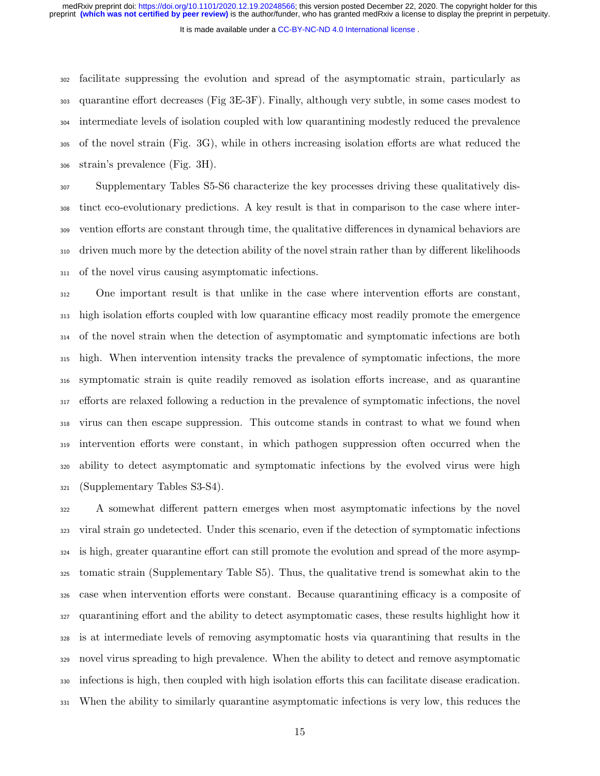It is made available under a CC-BY-NC-ND 4.0 International license.

 facilitate suppressing the evolution and spread of the asymptomatic strain, particularly as quarantine effort decreases (Fig 3E-3F). Finally, although very subtle, in some cases modest to intermediate levels of isolation coupled with low quarantining modestly reduced the prevalence of the novel strain (Fig. 3G), while in others increasing isolation efforts are what reduced the strain's prevalence (Fig. 3H).

 Supplementary Tables S5-S6 characterize the key processes driving these qualitatively dis- tinct eco-evolutionary predictions. A key result is that in comparison to the case where inter- vention efforts are constant through time, the qualitative differences in dynamical behaviors are driven much more by the detection ability of the novel strain rather than by different likelihoods of the novel virus causing asymptomatic infections.

 One important result is that unlike in the case where intervention efforts are constant, high isolation efforts coupled with low quarantine efficacy most readily promote the emergence of the novel strain when the detection of asymptomatic and symptomatic infections are both high. When intervention intensity tracks the prevalence of symptomatic infections, the more symptomatic strain is quite readily removed as isolation efforts increase, and as quarantine efforts are relaxed following a reduction in the prevalence of symptomatic infections, the novel virus can then escape suppression. This outcome stands in contrast to what we found when intervention efforts were constant, in which pathogen suppression often occurred when the ability to detect asymptomatic and symptomatic infections by the evolved virus were high (Supplementary Tables S3-S4).

 A somewhat different pattern emerges when most asymptomatic infections by the novel viral strain go undetected. Under this scenario, even if the detection of symptomatic infections is high, greater quarantine effort can still promote the evolution and spread of the more asymp- tomatic strain (Supplementary Table S5). Thus, the qualitative trend is somewhat akin to the case when intervention efforts were constant. Because quarantining efficacy is a composite of quarantining effort and the ability to detect asymptomatic cases, these results highlight how it is at intermediate levels of removing asymptomatic hosts via quarantining that results in the novel virus spreading to high prevalence. When the ability to detect and remove asymptomatic infections is high, then coupled with high isolation efforts this can facilitate disease eradication. When the ability to similarly quarantine asymptomatic infections is very low, this reduces the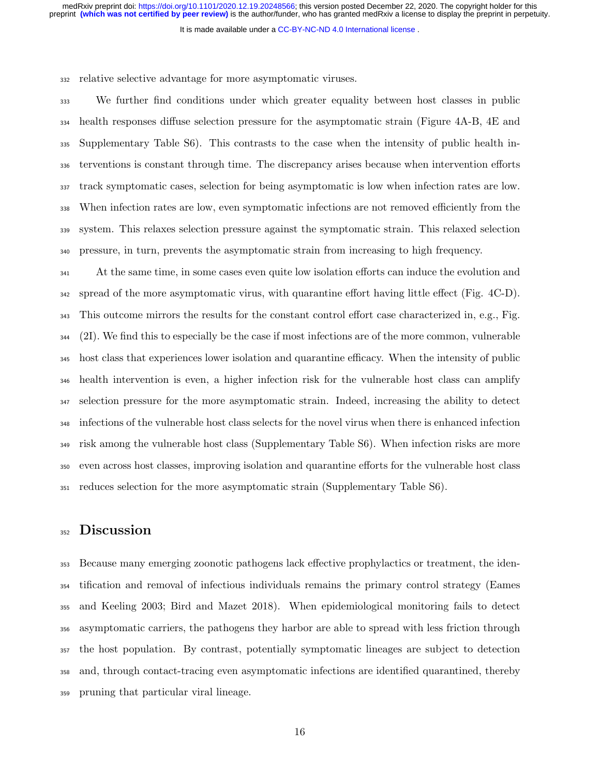It is made available under a CC-BY-NC-ND 4.0 International license.

relative selective advantage for more asymptomatic viruses.

 We further find conditions under which greater equality between host classes in public health responses diffuse selection pressure for the asymptomatic strain (Figure 4A-B, 4E and Supplementary Table S6). This contrasts to the case when the intensity of public health in- terventions is constant through time. The discrepancy arises because when intervention efforts track symptomatic cases, selection for being asymptomatic is low when infection rates are low. When infection rates are low, even symptomatic infections are not removed efficiently from the system. This relaxes selection pressure against the symptomatic strain. This relaxed selection pressure, in turn, prevents the asymptomatic strain from increasing to high frequency.

<sup>341</sup> At the same time, in some cases even quite low isolation efforts can induce the evolution and spread of the more asymptomatic virus, with quarantine effort having little effect (Fig. 4C-D). This outcome mirrors the results for the constant control effort case characterized in, e.g., Fig. (2I). We find this to especially be the case if most infections are of the more common, vulnerable host class that experiences lower isolation and quarantine efficacy. When the intensity of public health intervention is even, a higher infection risk for the vulnerable host class can amplify selection pressure for the more asymptomatic strain. Indeed, increasing the ability to detect infections of the vulnerable host class selects for the novel virus when there is enhanced infection risk among the vulnerable host class (Supplementary Table S6). When infection risks are more even across host classes, improving isolation and quarantine efforts for the vulnerable host class reduces selection for the more asymptomatic strain (Supplementary Table S6).

## 352 Discussion

 Because many emerging zoonotic pathogens lack effective prophylactics or treatment, the iden- tification and removal of infectious individuals remains the primary control strategy (Eames and Keeling 2003; Bird and Mazet 2018). When epidemiological monitoring fails to detect asymptomatic carriers, the pathogens they harbor are able to spread with less friction through the host population. By contrast, potentially symptomatic lineages are subject to detection and, through contact-tracing even asymptomatic infections are identified quarantined, thereby pruning that particular viral lineage.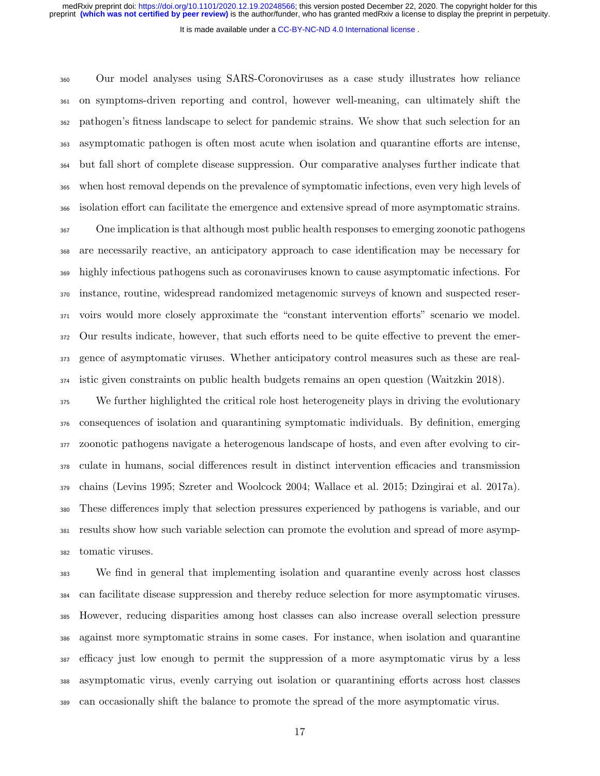It is made available under a CC-BY-NC-ND 4.0 International license.

 Our model analyses using SARS-Coronoviruses as a case study illustrates how reliance on symptoms-driven reporting and control, however well-meaning, can ultimately shift the pathogen's fitness landscape to select for pandemic strains. We show that such selection for an asymptomatic pathogen is often most acute when isolation and quarantine efforts are intense, but fall short of complete disease suppression. Our comparative analyses further indicate that when host removal depends on the prevalence of symptomatic infections, even very high levels of isolation effort can facilitate the emergence and extensive spread of more asymptomatic strains.

 One implication is that although most public health responses to emerging zoonotic pathogens are necessarily reactive, an anticipatory approach to case identification may be necessary for highly infectious pathogens such as coronaviruses known to cause asymptomatic infections. For instance, routine, widespread randomized metagenomic surveys of known and suspected reser- voirs would more closely approximate the "constant intervention efforts" scenario we model. Our results indicate, however, that such efforts need to be quite effective to prevent the emer- gence of asymptomatic viruses. Whether anticipatory control measures such as these are real-istic given constraints on public health budgets remains an open question (Waitzkin 2018).

 We further highlighted the critical role host heterogeneity plays in driving the evolutionary consequences of isolation and quarantining symptomatic individuals. By definition, emerging zoonotic pathogens navigate a heterogenous landscape of hosts, and even after evolving to cir- culate in humans, social differences result in distinct intervention efficacies and transmission chains (Levins 1995; Szreter and Woolcock 2004; Wallace et al. 2015; Dzingirai et al. 2017a). These differences imply that selection pressures experienced by pathogens is variable, and our results show how such variable selection can promote the evolution and spread of more asymp-tomatic viruses.

 We find in general that implementing isolation and quarantine evenly across host classes can facilitate disease suppression and thereby reduce selection for more asymptomatic viruses. However, reducing disparities among host classes can also increase overall selection pressure against more symptomatic strains in some cases. For instance, when isolation and quarantine efficacy just low enough to permit the suppression of a more asymptomatic virus by a less asymptomatic virus, evenly carrying out isolation or quarantining efforts across host classes can occasionally shift the balance to promote the spread of the more asymptomatic virus.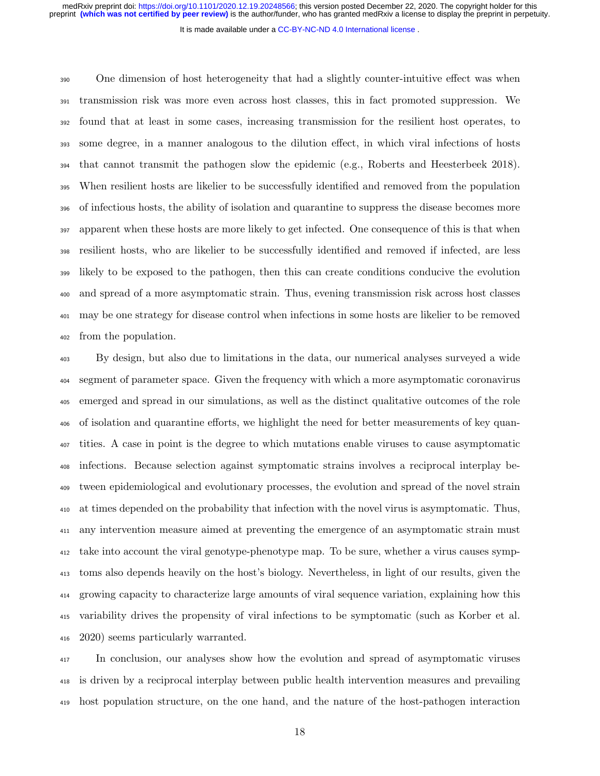It is made available under a CC-BY-NC-ND 4.0 International license.

 One dimension of host heterogeneity that had a slightly counter-intuitive effect was when transmission risk was more even across host classes, this in fact promoted suppression. We found that at least in some cases, increasing transmission for the resilient host operates, to some degree, in a manner analogous to the dilution effect, in which viral infections of hosts that cannot transmit the pathogen slow the epidemic (e.g., Roberts and Heesterbeek 2018). When resilient hosts are likelier to be successfully identified and removed from the population of infectious hosts, the ability of isolation and quarantine to suppress the disease becomes more apparent when these hosts are more likely to get infected. One consequence of this is that when resilient hosts, who are likelier to be successfully identified and removed if infected, are less likely to be exposed to the pathogen, then this can create conditions conducive the evolution and spread of a more asymptomatic strain. Thus, evening transmission risk across host classes may be one strategy for disease control when infections in some hosts are likelier to be removed from the population.

 By design, but also due to limitations in the data, our numerical analyses surveyed a wide segment of parameter space. Given the frequency with which a more asymptomatic coronavirus emerged and spread in our simulations, as well as the distinct qualitative outcomes of the role of isolation and quarantine efforts, we highlight the need for better measurements of key quan- tities. A case in point is the degree to which mutations enable viruses to cause asymptomatic infections. Because selection against symptomatic strains involves a reciprocal interplay be- tween epidemiological and evolutionary processes, the evolution and spread of the novel strain at times depended on the probability that infection with the novel virus is asymptomatic. Thus, any intervention measure aimed at preventing the emergence of an asymptomatic strain must take into account the viral genotype-phenotype map. To be sure, whether a virus causes symp- toms also depends heavily on the host's biology. Nevertheless, in light of our results, given the growing capacity to characterize large amounts of viral sequence variation, explaining how this variability drives the propensity of viral infections to be symptomatic (such as Korber et al. 2020) seems particularly warranted.

<sup>417</sup> In conclusion, our analyses show how the evolution and spread of asymptomatic viruses is driven by a reciprocal interplay between public health intervention measures and prevailing host population structure, on the one hand, and the nature of the host-pathogen interaction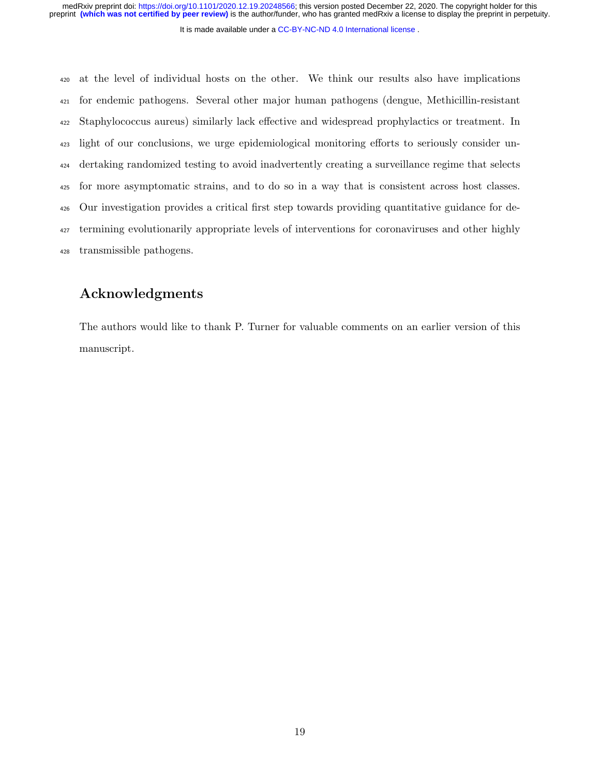It is made available under a CC-BY-NC-ND 4.0 International license.

 at the level of individual hosts on the other. We think our results also have implications for endemic pathogens. Several other major human pathogens (dengue, Methicillin-resistant Staphylococcus aureus) similarly lack effective and widespread prophylactics or treatment. In light of our conclusions, we urge epidemiological monitoring efforts to seriously consider un- dertaking randomized testing to avoid inadvertently creating a surveillance regime that selects for more asymptomatic strains, and to do so in a way that is consistent across host classes. Our investigation provides a critical first step towards providing quantitative guidance for de- termining evolutionarily appropriate levels of interventions for coronaviruses and other highly transmissible pathogens.

# Acknowledgments

The authors would like to thank P. Turner for valuable comments on an earlier version of this manuscript.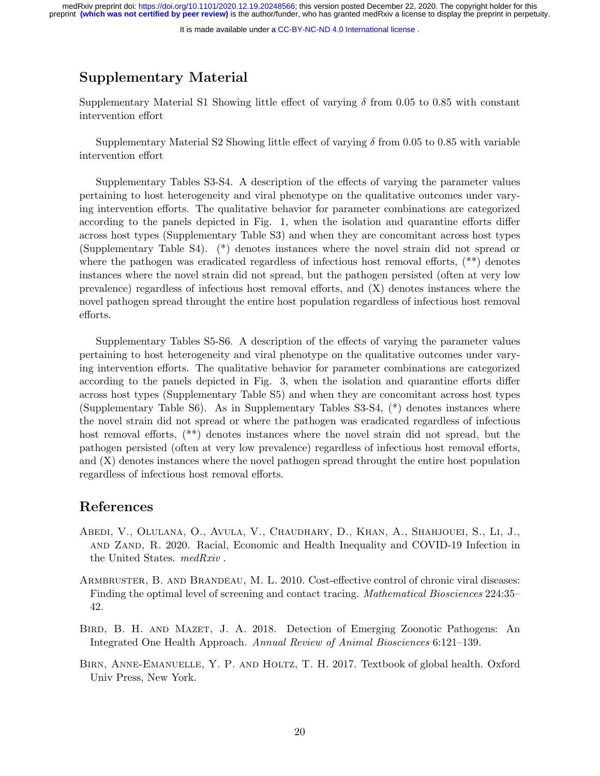It is made available under a CC-BY-NC-ND 4.0 International license.

# Supplementary Material

Supplementary Material S1 Showing little effect of varying  $\delta$  from 0.05 to 0.85 with constant intervention effort

Supplementary Material S2 Showing little effect of varying  $\delta$  from 0.05 to 0.85 with variable intervention effort

Supplementary Tables S3-S4. A description of the effects of varying the parameter values pertaining to host heterogeneity and viral phenotype on the qualitative outcomes under varying intervention efforts. The qualitative behavior for parameter combinations are categorized according to the panels depicted in Fig. 1, when the isolation and quarantine efforts differ across host types (Supplementary Table S3) and when they are concomitant across host types (Supplementary Table S4). (\*) denotes instances where the novel strain did not spread or where the pathogen was eradicated regardless of infectious host removal efforts, (\*\*) denotes instances where the novel strain did not spread, but the pathogen persisted (often at very low prevalence) regardless of infectious host removal efforts, and (X) denotes instances where the novel pathogen spread throught the entire host population regardless of infectious host removal efforts.

Supplementary Tables S5-S6. A description of the effects of varying the parameter values pertaining to host heterogeneity and viral phenotype on the qualitative outcomes under varying intervention efforts. The qualitative behavior for parameter combinations are categorized according to the panels depicted in Fig. 3, when the isolation and quarantine efforts differ across host types (Supplementary Table S5) and when they are concomitant across host types (Supplementary Table S6). As in Supplementary Tables S3-S4, (\*) denotes instances where the novel strain did not spread or where the pathogen was eradicated regardless of infectious host removal efforts,  $(**)$  denotes instances where the novel strain did not spread, but the pathogen persisted (often at very low prevalence) regardless of infectious host removal efforts, and (X) denotes instances where the novel pathogen spread throught the entire host population regardless of infectious host removal efforts.

## References

- Abedi, V., Olulana, O., Avula, V., Chaudhary, D., Khan, A., Shahjouei, S., Li, J., and Zand, R. 2020. Racial, Economic and Health Inequality and COVID-19 Infection in the United States. medRxiv .
- ARMBRUSTER, B. AND BRANDEAU, M. L. 2010. Cost-effective control of chronic viral diseases: Finding the optimal level of screening and contact tracing. Mathematical Biosciences 224:35– 42.
- Bird, B. H. and Mazet, J. A. 2018. Detection of Emerging Zoonotic Pathogens: An Integrated One Health Approach. Annual Review of Animal Biosciences 6:121–139.
- BIRN, ANNE-EMANUELLE, Y. P. AND HOLTZ, T. H. 2017. Textbook of global health. Oxford Univ Press, New York.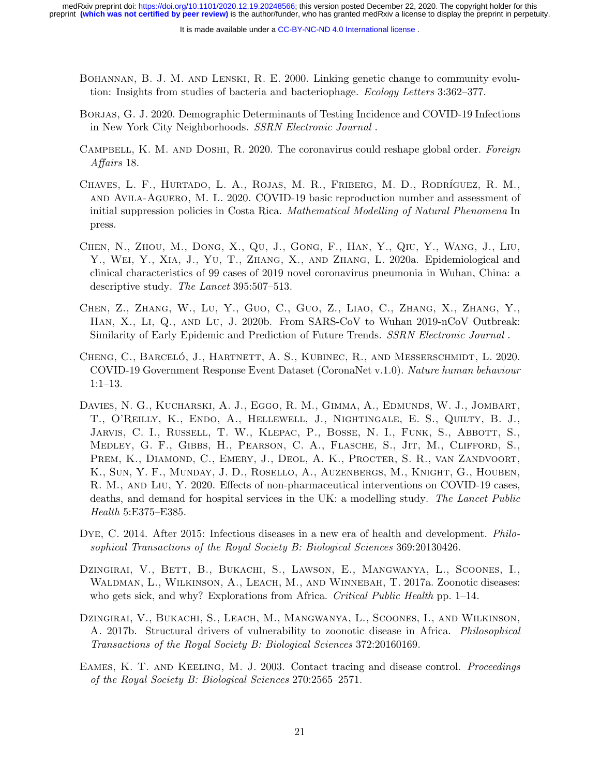- Bohannan, B. J. M. and Lenski, R. E. 2000. Linking genetic change to community evolution: Insights from studies of bacteria and bacteriophage. Ecology Letters 3:362–377.
- Borjas, G. J. 2020. Demographic Determinants of Testing Incidence and COVID-19 Infections in New York City Neighborhoods. SSRN Electronic Journal .
- CAMPBELL, K. M. AND DOSHI, R. 2020. The coronavirus could reshape global order. Foreign Affairs 18.
- CHAVES, L. F., HURTADO, L. A., ROJAS, M. R., FRIBERG, M. D., RODRÍGUEZ, R. M., and Avila-Aguero, M. L. 2020. COVID-19 basic reproduction number and assessment of initial suppression policies in Costa Rica. Mathematical Modelling of Natural Phenomena In press.
- Chen, N., Zhou, M., Dong, X., Qu, J., Gong, F., Han, Y., Qiu, Y., Wang, J., Liu, Y., Wei, Y., Xia, J., Yu, T., Zhang, X., and Zhang, L. 2020a. Epidemiological and clinical characteristics of 99 cases of 2019 novel coronavirus pneumonia in Wuhan, China: a descriptive study. The Lancet 395:507–513.
- Chen, Z., Zhang, W., Lu, Y., Guo, C., Guo, Z., Liao, C., Zhang, X., Zhang, Y., Han, X., Li, Q., and Lu, J. 2020b. From SARS-CoV to Wuhan 2019-nCoV Outbreak: Similarity of Early Epidemic and Prediction of Future Trends. SSRN Electronic Journal.
- CHENG, C., BARCELÓ, J., HARTNETT, A. S., KUBINEC, R., AND MESSERSCHMIDT, L. 2020. COVID-19 Government Response Event Dataset (CoronaNet v.1.0). Nature human behaviour 1:1–13.
- Davies, N. G., Kucharski, A. J., Eggo, R. M., Gimma, A., Edmunds, W. J., Jombart, T., O'Reilly, K., Endo, A., Hellewell, J., Nightingale, E. S., Quilty, B. J., JARVIS, C. I., RUSSELL, T. W., KLEPAC, P., BOSSE, N. I., FUNK, S., ABBOTT, S., Medley, G. F., Gibbs, H., Pearson, C. A., Flasche, S., Jit, M., Clifford, S., PREM, K., DIAMOND, C., EMERY, J., DEOL, A. K., PROCTER, S. R., VAN ZANDVOORT, K., Sun, Y. F., Munday, J. D., Rosello, A., Auzenbergs, M., Knight, G., Houben, R. M., and Liu, Y. 2020. Effects of non-pharmaceutical interventions on COVID-19 cases, deaths, and demand for hospital services in the UK: a modelling study. The Lancet Public Health 5:E375–E385.
- DYE, C. 2014. After 2015: Infectious diseases in a new era of health and development. *Philo*sophical Transactions of the Royal Society B: Biological Sciences 369:20130426.
- DZINGIRAI, V., BETT, B., BUKACHI, S., LAWSON, E., MANGWANYA, L., SCOONES, I., WALDMAN, L., WILKINSON, A., LEACH, M., AND WINNEBAH, T. 2017a. Zoonotic diseases: who gets sick, and why? Explorations from Africa. Critical Public Health pp. 1–14.
- Dzingirai, V., Bukachi, S., Leach, M., Mangwanya, L., Scoones, I., and Wilkinson, A. 2017b. Structural drivers of vulnerability to zoonotic disease in Africa. Philosophical Transactions of the Royal Society B: Biological Sciences 372:20160169.
- EAMES, K. T. AND KEELING, M. J. 2003. Contact tracing and disease control. *Proceedings* of the Royal Society B: Biological Sciences 270:2565–2571.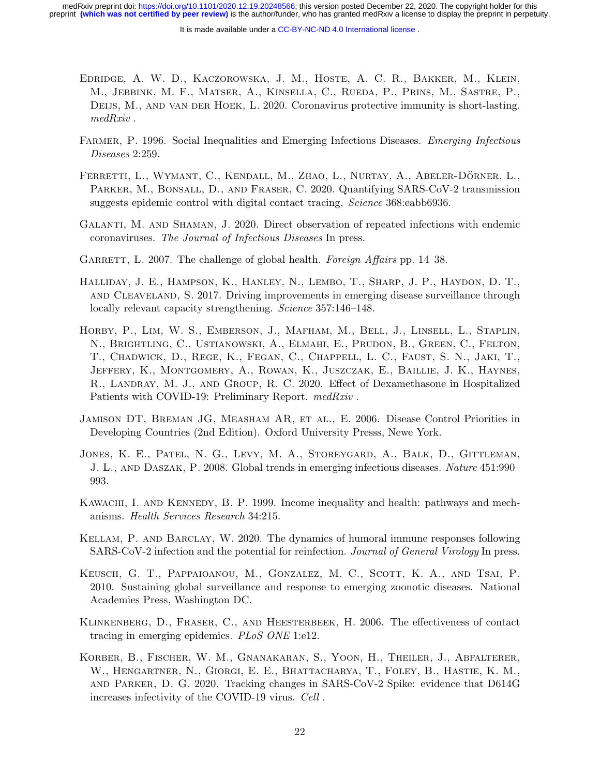- Edridge, A. W. D., Kaczorowska, J. M., Hoste, A. C. R., Bakker, M., Klein, M., Jebbink, M. F., Matser, A., Kinsella, C., Rueda, P., Prins, M., Sastre, P., DEIJS, M., AND VAN DER HOEK, L. 2020. Coronavirus protective immunity is short-lasting. medRxiv .
- FARMER, P. 1996. Social Inequalities and Emerging Infectious Diseases. Emerging Infectious Diseases 2:259.
- FERRETTI, L., WYMANT, C., KENDALL, M., ZHAO, L., NURTAY, A., ABELER-DÖRNER, L., PARKER, M., BONSALL, D., AND FRASER, C. 2020. Quantifying SARS-CoV-2 transmission suggests epidemic control with digital contact tracing. Science 368:eabb6936.
- Galanti, M. and Shaman, J. 2020. Direct observation of repeated infections with endemic coronaviruses. The Journal of Infectious Diseases In press.
- GARRETT, L. 2007. The challenge of global health. Foreign Affairs pp. 14–38.
- Halliday, J. E., Hampson, K., Hanley, N., Lembo, T., Sharp, J. P., Haydon, D. T., and Cleaveland, S. 2017. Driving improvements in emerging disease surveillance through locally relevant capacity strengthening. Science 357:146-148.
- Horby, P., Lim, W. S., Emberson, J., Mafham, M., Bell, J., Linsell, L., Staplin, N., Brightling, C., Ustianowski, A., Elmahi, E., Prudon, B., Green, C., Felton, T., Chadwick, D., Rege, K., Fegan, C., Chappell, L. C., Faust, S. N., Jaki, T., Jeffery, K., Montgomery, A., Rowan, K., Juszczak, E., Baillie, J. K., Haynes, R., Landray, M. J., and Group, R. C. 2020. Effect of Dexamethasone in Hospitalized Patients with COVID-19: Preliminary Report. medRxiv.
- Jamison DT, Breman JG, Measham AR, et al., E. 2006. Disease Control Priorities in Developing Countries (2nd Edition). Oxford University Presss, Newe York.
- Jones, K. E., Patel, N. G., Levy, M. A., Storeygard, A., Balk, D., Gittleman, J. L., and Daszak, P. 2008. Global trends in emerging infectious diseases. Nature 451:990– 993.
- KAWACHI, I. AND KENNEDY, B. P. 1999. Income inequality and health: pathways and mechanisms. Health Services Research 34:215.
- Kellam, P. and Barclay, W. 2020. The dynamics of humoral immune responses following SARS-CoV-2 infection and the potential for reinfection. Journal of General Virology In press.
- Keusch, G. T., Pappaioanou, M., Gonzalez, M. C., Scott, K. A., and Tsai, P. 2010. Sustaining global surveillance and response to emerging zoonotic diseases. National Academies Press, Washington DC.
- Klinkenberg, D., Fraser, C., and Heesterbeek, H. 2006. The effectiveness of contact tracing in emerging epidemics. PLoS ONE 1:e12.
- Korber, B., Fischer, W. M., Gnanakaran, S., Yoon, H., Theiler, J., Abfalterer, W., Hengartner, N., Giorgi, E. E., Bhattacharya, T., Foley, B., Hastie, K. M., and Parker, D. G. 2020. Tracking changes in SARS-CoV-2 Spike: evidence that D614G increases infectivity of the COVID-19 virus. Cell .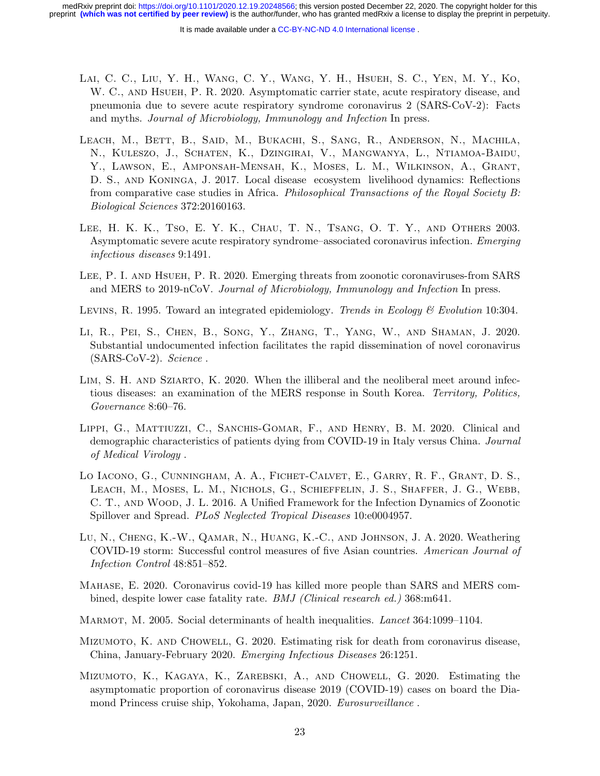- Lai, C. C., Liu, Y. H., Wang, C. Y., Wang, Y. H., Hsueh, S. C., Yen, M. Y., Ko, W. C., and Hsueh, P. R. 2020. Asymptomatic carrier state, acute respiratory disease, and pneumonia due to severe acute respiratory syndrome coronavirus 2 (SARS-CoV-2): Facts and myths. Journal of Microbiology, Immunology and Infection In press.
- LEACH, M., BETT, B., SAID, M., BUKACHI, S., SANG, R., ANDERSON, N., MACHILA, N., Kuleszo, J., Schaten, K., Dzingirai, V., Mangwanya, L., Ntiamoa-Baidu, Y., Lawson, E., Amponsah-Mensah, K., Moses, L. M., Wilkinson, A., Grant, D. S., and Koninga, J. 2017. Local disease ecosystem livelihood dynamics: Reflections from comparative case studies in Africa. Philosophical Transactions of the Royal Society B: Biological Sciences 372:20160163.
- Lee, H. K. K., Tso, E. Y. K., Chau, T. N., Tsang, O. T. Y., and Others 2003. Asymptomatic severe acute respiratory syndrome–associated coronavirus infection. Emerging infectious diseases 9:1491.
- Lee, P. I. and Hsueh, P. R. 2020. Emerging threats from zoonotic coronaviruses-from SARS and MERS to 2019-nCoV. Journal of Microbiology, Immunology and Infection In press.
- LEVINS, R. 1995. Toward an integrated epidemiology. Trends in Ecology & Evolution 10:304.
- Li, R., Pei, S., Chen, B., Song, Y., Zhang, T., Yang, W., and Shaman, J. 2020. Substantial undocumented infection facilitates the rapid dissemination of novel coronavirus  $(SARS-CoV-2)$ . Science.
- LIM, S. H. AND SZIARTO, K. 2020. When the illiberal and the neoliberal meet around infectious diseases: an examination of the MERS response in South Korea. Territory, Politics, Governance 8:60–76.
- LIPPI, G., MATTIUZZI, C., SANCHIS-GOMAR, F., AND HENRY, B. M. 2020. Clinical and demographic characteristics of patients dying from COVID-19 in Italy versus China. Journal of Medical Virology .
- Lo Iacono, G., Cunningham, A. A., Fichet-Calvet, E., Garry, R. F., Grant, D. S., Leach, M., Moses, L. M., Nichols, G., Schieffelin, J. S., Shaffer, J. G., Webb, C. T., and Wood, J. L. 2016. A Unified Framework for the Infection Dynamics of Zoonotic Spillover and Spread. PLoS Neglected Tropical Diseases 10:e0004957.
- Lu, N., Cheng, K.-W., Qamar, N., Huang, K.-C., and Johnson, J. A. 2020. Weathering COVID-19 storm: Successful control measures of five Asian countries. American Journal of Infection Control 48:851–852.
- Mahase, E. 2020. Coronavirus covid-19 has killed more people than SARS and MERS combined, despite lower case fatality rate. BMJ (Clinical research ed.) 368:m641.
- MARMOT, M. 2005. Social determinants of health inequalities. Lancet 364:1099–1104.
- MIZUMOTO, K. AND CHOWELL, G. 2020. Estimating risk for death from coronavirus disease, China, January-February 2020. Emerging Infectious Diseases 26:1251.
- Mizumoto, K., Kagaya, K., Zarebski, A., and Chowell, G. 2020. Estimating the asymptomatic proportion of coronavirus disease 2019 (COVID-19) cases on board the Diamond Princess cruise ship, Yokohama, Japan, 2020. Eurosurveillance .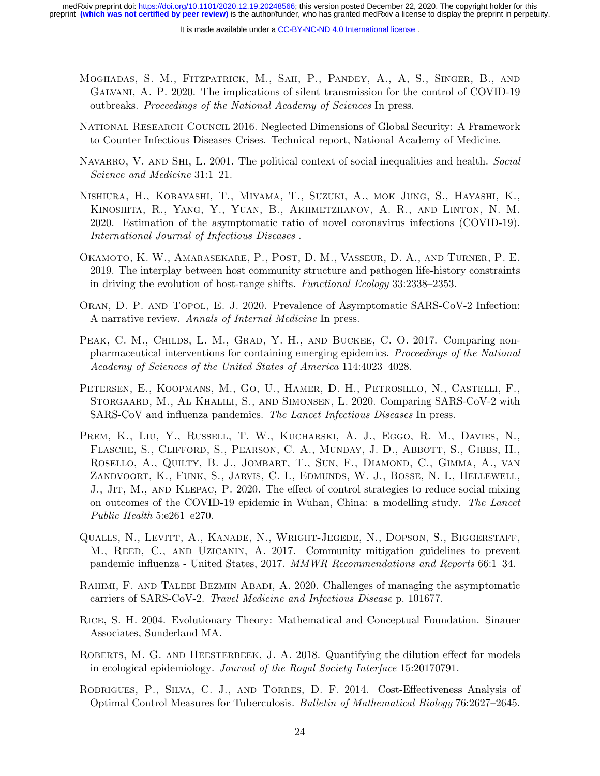- Moghadas, S. M., Fitzpatrick, M., Sah, P., Pandey, A., A, S., Singer, B., and Galvani, A. P. 2020. The implications of silent transmission for the control of COVID-19 outbreaks. Proceedings of the National Academy of Sciences In press.
- National Research Council 2016. Neglected Dimensions of Global Security: A Framework to Counter Infectious Diseases Crises. Technical report, National Academy of Medicine.
- NAVARRO, V. AND SHI, L. 2001. The political context of social inequalities and health. Social Science and Medicine 31:1–21.
- Nishiura, H., Kobayashi, T., Miyama, T., Suzuki, A., mok Jung, S., Hayashi, K., Kinoshita, R., Yang, Y., Yuan, B., Akhmetzhanov, A. R., and Linton, N. M. 2020. Estimation of the asymptomatic ratio of novel coronavirus infections (COVID-19). International Journal of Infectious Diseases .
- Okamoto, K. W., Amarasekare, P., Post, D. M., Vasseur, D. A., and Turner, P. E. 2019. The interplay between host community structure and pathogen life-history constraints in driving the evolution of host-range shifts. Functional Ecology 33:2338–2353.
- Oran, D. P. and Topol, E. J. 2020. Prevalence of Asymptomatic SARS-CoV-2 Infection: A narrative review. Annals of Internal Medicine In press.
- PEAK, C. M., CHILDS, L. M., GRAD, Y. H., AND BUCKEE, C. O. 2017. Comparing nonpharmaceutical interventions for containing emerging epidemics. Proceedings of the National Academy of Sciences of the United States of America 114:4023–4028.
- Petersen, E., Koopmans, M., Go, U., Hamer, D. H., Petrosillo, N., Castelli, F., Storgaard, M., Al Khalili, S., and Simonsen, L. 2020. Comparing SARS-CoV-2 with SARS-CoV and influenza pandemics. The Lancet Infectious Diseases In press.
- PREM, K., LIU, Y., RUSSELL, T. W., KUCHARSKI, A. J., EGGO, R. M., DAVIES, N., Flasche, S., Clifford, S., Pearson, C. A., Munday, J. D., Abbott, S., Gibbs, H., Rosello, A., Quilty, B. J., Jombart, T., Sun, F., Diamond, C., Gimma, A., van Zandvoort, K., Funk, S., Jarvis, C. I., Edmunds, W. J., Bosse, N. I., Hellewell, J., Jit, M., and Klepac, P. 2020. The effect of control strategies to reduce social mixing on outcomes of the COVID-19 epidemic in Wuhan, China: a modelling study. The Lancet Public Health 5:e261–e270.
- Qualls, N., Levitt, A., Kanade, N., Wright-Jegede, N., Dopson, S., Biggerstaff, M., REED, C., AND UZICANIN, A. 2017. Community mitigation guidelines to prevent pandemic influenza - United States, 2017. MMWR Recommendations and Reports 66:1–34.
- Rahimi, F. and Talebi Bezmin Abadi, A. 2020. Challenges of managing the asymptomatic carriers of SARS-CoV-2. Travel Medicine and Infectious Disease p. 101677.
- Rice, S. H. 2004. Evolutionary Theory: Mathematical and Conceptual Foundation. Sinauer Associates, Sunderland MA.
- ROBERTS, M. G. AND HEESTERBEEK, J. A. 2018. Quantifying the dilution effect for models in ecological epidemiology. Journal of the Royal Society Interface 15:20170791.
- Rodrigues, P., Silva, C. J., and Torres, D. F. 2014. Cost-Effectiveness Analysis of Optimal Control Measures for Tuberculosis. Bulletin of Mathematical Biology 76:2627–2645.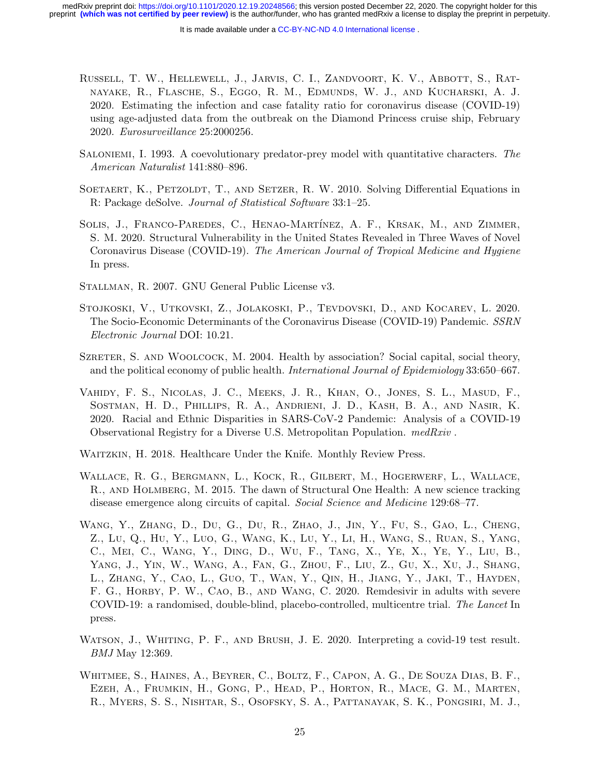- Russell, T. W., Hellewell, J., Jarvis, C. I., Zandvoort, K. V., Abbott, S., Ratnayake, R., Flasche, S., Eggo, R. M., Edmunds, W. J., and Kucharski, A. J. 2020. Estimating the infection and case fatality ratio for coronavirus disease (COVID-19) using age-adjusted data from the outbreak on the Diamond Princess cruise ship, February 2020. Eurosurveillance 25:2000256.
- Saloniemi, I. 1993. A coevolutionary predator-prey model with quantitative characters. The American Naturalist 141:880–896.
- SOETAERT, K., PETZOLDT, T., AND SETZER, R. W. 2010. Solving Differential Equations in R: Package deSolve. Journal of Statistical Software 33:1–25.
- SOLIS, J., FRANCO-PAREDES, C., HENAO-MARTÍNEZ, A. F., KRSAK, M., AND ZIMMER, S. M. 2020. Structural Vulnerability in the United States Revealed in Three Waves of Novel Coronavirus Disease (COVID-19). The American Journal of Tropical Medicine and Hygiene In press.
- Stallman, R. 2007. GNU General Public License v3.
- Stojkoski, V., Utkovski, Z., Jolakoski, P., Tevdovski, D., and Kocarev, L. 2020. The Socio-Economic Determinants of the Coronavirus Disease (COVID-19) Pandemic. SSRN Electronic Journal DOI: 10.21.
- SZRETER, S. AND WOOLCOCK, M. 2004. Health by association? Social capital, social theory, and the political economy of public health. *International Journal of Epidemiology* 33:650–667.
- Vahidy, F. S., Nicolas, J. C., Meeks, J. R., Khan, O., Jones, S. L., Masud, F., Sostman, H. D., Phillips, R. A., Andrieni, J. D., Kash, B. A., and Nasir, K. 2020. Racial and Ethnic Disparities in SARS-CoV-2 Pandemic: Analysis of a COVID-19 Observational Registry for a Diverse U.S. Metropolitan Population. medRxiv .
- WAITZKIN, H. 2018. Healthcare Under the Knife. Monthly Review Press.
- Wallace, R. G., Bergmann, L., Kock, R., Gilbert, M., Hogerwerf, L., Wallace, R., and Holmberg, M. 2015. The dawn of Structural One Health: A new science tracking disease emergence along circuits of capital. Social Science and Medicine 129:68–77.
- Wang, Y., Zhang, D., Du, G., Du, R., Zhao, J., Jin, Y., Fu, S., Gao, L., Cheng, Z., Lu, Q., Hu, Y., Luo, G., Wang, K., Lu, Y., Li, H., Wang, S., Ruan, S., Yang, C., Mei, C., Wang, Y., Ding, D., Wu, F., Tang, X., Ye, X., Ye, Y., Liu, B., Yang, J., Yin, W., Wang, A., Fan, G., Zhou, F., Liu, Z., Gu, X., Xu, J., Shang, L., Zhang, Y., Cao, L., Guo, T., Wan, Y., Qin, H., Jiang, Y., Jaki, T., Hayden, F. G., HORBY, P. W., CAO, B., AND WANG, C. 2020. Remdesivir in adults with severe COVID-19: a randomised, double-blind, placebo-controlled, multicentre trial. The Lancet In press.
- WATSON, J., WHITING, P. F., AND BRUSH, J. E. 2020. Interpreting a covid-19 test result. BMJ May 12:369.
- Whitmee, S., Haines, A., Beyrer, C., Boltz, F., Capon, A. G., De Souza Dias, B. F., Ezeh, A., Frumkin, H., Gong, P., Head, P., Horton, R., Mace, G. M., Marten, R., Myers, S. S., Nishtar, S., Osofsky, S. A., Pattanayak, S. K., Pongsiri, M. J.,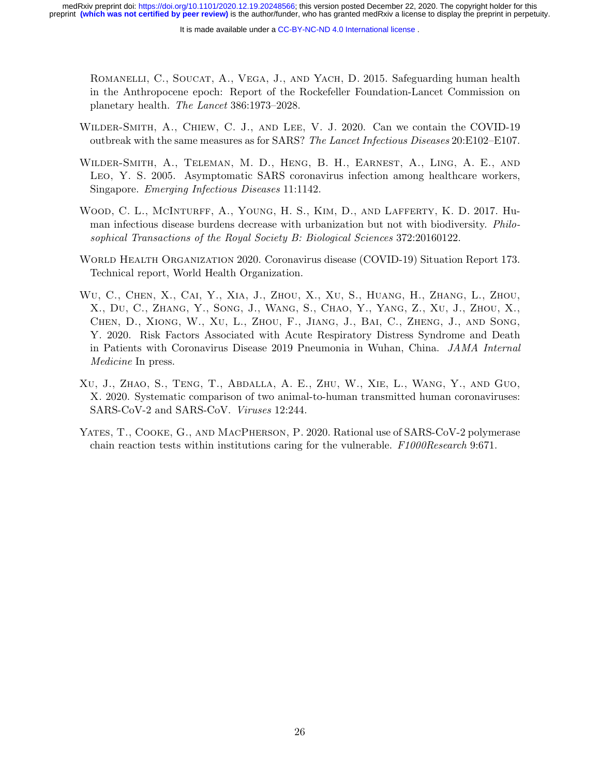ROMANELLI, C., SOUCAT, A., VEGA, J., AND YACH, D. 2015. Safeguarding human health in the Anthropocene epoch: Report of the Rockefeller Foundation-Lancet Commission on planetary health. The Lancet 386:1973–2028.

- Wilder-Smith, A., Chiew, C. J., and Lee, V. J. 2020. Can we contain the COVID-19 outbreak with the same measures as for SARS? The Lancet Infectious Diseases 20:E102–E107.
- Wilder-Smith, A., Teleman, M. D., Heng, B. H., Earnest, A., Ling, A. E., and LEO, Y. S. 2005. Asymptomatic SARS coronavirus infection among healthcare workers, Singapore. Emerging Infectious Diseases 11:1142.
- Wood, C. L., McInturff, A., Young, H. S., Kim, D., and Lafferty, K. D. 2017. Human infectious disease burdens decrease with urbanization but not with biodiversity. Philosophical Transactions of the Royal Society B: Biological Sciences 372:20160122.
- World Health Organization 2020. Coronavirus disease (COVID-19) Situation Report 173. Technical report, World Health Organization.
- Wu, C., Chen, X., Cai, Y., Xia, J., Zhou, X., Xu, S., Huang, H., Zhang, L., Zhou, X., Du, C., Zhang, Y., Song, J., Wang, S., Chao, Y., Yang, Z., Xu, J., Zhou, X., Chen, D., Xiong, W., Xu, L., Zhou, F., Jiang, J., Bai, C., Zheng, J., and Song, Y. 2020. Risk Factors Associated with Acute Respiratory Distress Syndrome and Death in Patients with Coronavirus Disease 2019 Pneumonia in Wuhan, China. JAMA Internal Medicine In press.
- Xu, J., Zhao, S., Teng, T., Abdalla, A. E., Zhu, W., Xie, L., Wang, Y., and Guo, X. 2020. Systematic comparison of two animal-to-human transmitted human coronaviruses: SARS-CoV-2 and SARS-CoV. Viruses 12:244.
- YATES, T., COOKE, G., AND MACPHERSON, P. 2020. Rational use of SARS-CoV-2 polymerase chain reaction tests within institutions caring for the vulnerable. F1000Research 9:671.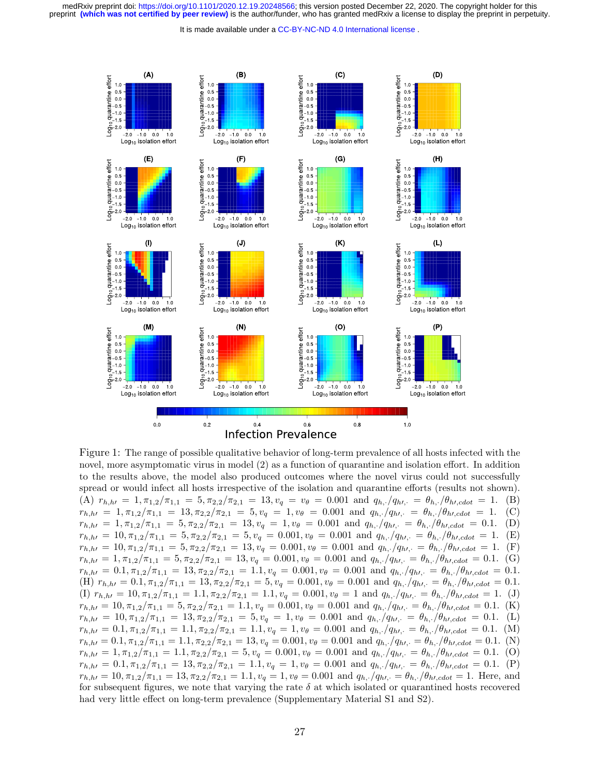It is made available under a CC-BY-NC-ND 4.0 International license.



Figure 1: The range of possible qualitative behavior of long-term prevalence of all hosts infected with the novel, more asymptomatic virus in model (2) as a function of quarantine and isolation effort. In addition to the results above, the model also produced outcomes where the novel virus could not successfully spread or would infect all hosts irrespective of the isolation and quarantine efforts (results not shown). (A)  $r_{h,h} = 1, \pi_{1,2}/\pi_{1,1} = 5, \pi_{2,2}/\pi_{2,1} = 13, v_q = v_\theta = 0.001$  and  $q_{h,\cdot}/q_{h\prime,\cdot} = \theta_{h,\cdot}/\theta_{h\prime, cdot} = 1.$  (B)  $r_{h,h} = 1, \pi_{1,2}/\pi_{1,1} = 13, \pi_{2,2}/\pi_{2,1} = 5, v_q = 1, v_\theta = 0.001$  and  $q_{h,\cdot}/q_{h\prime,\cdot} = \theta_{h,\cdot}/\theta_{h\prime, cdot} = 1$ . (C)  $r_{h,h} = 1, \pi_{1,2}/\pi_{1,1} = 5, \pi_{2,2}/\pi_{2,1} = 13, v_q = 1, v_\theta = 0.001$  and  $q_{h,\cdot}/q_{h\prime,\cdot} = \theta_{h,\cdot}/\theta_{h\prime, cdot} = 0.1.$  (D)  $r_{h,h} = 10, \pi_{1,2}/\pi_{1,1} = 5, \pi_{2,2}/\pi_{2,1} = 5, v_q = 0.001, v_\theta = 0.001$  and  $q_{h,\cdot}/q_{h\prime,\cdot} = \theta_{h,\cdot}/\theta_{h\prime, cdot} = 1$ . (E)  $r_{h,h} = 10, \pi_{1,2}/\pi_{1,1} = 5, \pi_{2,2}/\pi_{2,1} = 13, v_q = 0.001, v_\theta = 0.001$  and  $q_{h,\cdot}/q_{h\prime,\cdot} = \theta_{h,\cdot}/\theta_{h\prime, cdot} = 1$ . (F)  $r_{h,h} = 1, \pi_{1,2}/\pi_{1,1} = 5, \pi_{2,2}/\pi_{2,1} = 13, v_q = 0.001, v_\theta = 0.001$  and  $q_{h,\cdot}/q_{h\prime,\cdot} = \theta_{h,\cdot}/\theta_{h\prime, cdot} = 0.1$ . (G)  $r_{h,h} = 0.1, \pi_{1,2}/\pi_{1,1} = 13, \pi_{2,2}/\pi_{2,1} = 1.1, v_q = 0.001, v_{\theta} = 0.001$  and  $q_{h,\cdot}/q_{h\prime,\cdot} = \theta_{h,\cdot}/\theta_{h\prime, cdot} = 0.1$ . (H)  $r_{h,h} = 0.1, \pi_{1,2}/\pi_{1,1} = 13, \pi_{2,2}/\pi_{2,1} = 5, v_q = 0.001, v_{\theta} = 0.001$  and  $q_{h,\cdot}/q_{h\prime,\cdot} = \theta_{h,\cdot}/\theta_{h\prime,cdot} = 0.1$ . (I)  $r_{h,h} = 10, \pi_{1,2}/\pi_{1,1} = 1.1, \pi_{2,2}/\pi_{2,1} = 1.1, v_q = 0.001, v_{\theta} = 1$  and  $q_{h,\cdot}/q_{h\prime,\cdot} = \theta_{h,\cdot}/\theta_{h\prime,cdot} = 1.$  (J)  $r_{h,h} = 10, \pi_{1,2}/\pi_{1,1} = 5, \pi_{2,2}/\pi_{2,1} = 1.1, v_q = 0.001, v_\theta = 0.001$  and  $q_{h,\cdot}/q_{h\prime,\cdot} = \theta_{h,\cdot}/\theta_{h\prime, cdot} = 0.1$ . (K)  $r_{h,h} = 10, \pi_{1,2}/\pi_{1,1} = 13, \pi_{2,2}/\pi_{2,1} = 5, v_q = 1, v_\theta = 0.001$  and  $q_{h,\cdot}/q_{h\prime,\cdot} = \theta_{h,\cdot}/\theta_{h\prime, cdot} = 0.1$ . (L)  $r_{h,h} = 0.1, \pi_{1,2}/\pi_{1,1} = 1.1, \pi_{2,2}/\pi_{2,1} = 1.1, v_q = 1, v_\theta = 0.001$  and  $q_{h,\cdot}/q_{h\prime,\cdot} = \theta_{h,\cdot}/\theta_{h\prime, cdot} = 0.1.$  (M)  $r_{h,h} = 0.1, \pi_{1,2}/\pi_{1,1} = 1.1, \pi_{2,2}/\pi_{2,1} = 13, v_q = 0.001, v_{\theta} = 0.001$  and  $q_{h,\cdot}/q_{h\prime,\cdot} = \theta_{h,\cdot}/\theta_{h\prime, cdot} = 0.1.$  (N)  $r_{h,h} = 1, \pi_{1,2}/\pi_{1,1} = 1.1, \pi_{2,2}/\pi_{2,1} = 5, v_q = 0.001, v_\theta = 0.001$  and  $q_{h,\cdot}/q_{h\prime,\cdot} = \theta_{h,\cdot}/\theta_{h\prime, cdot} = 0.1.$  (O)  $r_{h,h} = 0.1, \pi_{1,2}/\pi_{1,1} = 13, \pi_{2,2}/\pi_{2,1} = 1.1, v_q = 1, v_\theta = 0.001$  and  $q_{h,\cdot}/q_{h\prime,\cdot} = \theta_{h,\cdot}/\theta_{h\prime, cdot} = 0.1.$  (P)  $r_{h,h} = 10, \pi_{1,2}/\pi_{1,1} = 13, \pi_{2,2}/\pi_{2,1} = 1.1, v_q = 1, v_\theta = 0.001$  and  $q_{h,\cdot}/q_{h\prime,\cdot} = \theta_{h,\cdot}/\theta_{h\prime, cdot} = 1$ . Here, and for subsequent figures, we note that varying the rate  $\delta$  at which isolated or quarantined hosts recovered had very little effect on long-term prevalence (Supplementary Material S1 and S2).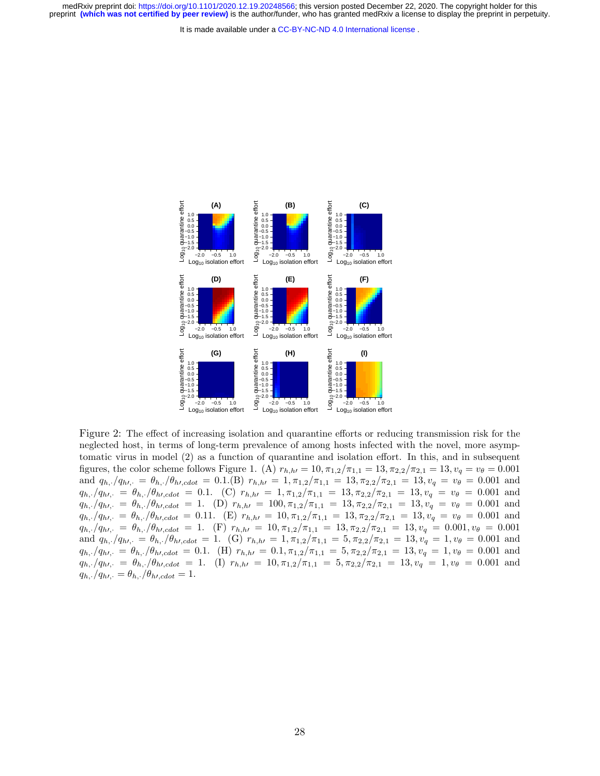It is made available under a CC-BY-NC-ND 4.0 International license.



Figure 2: The effect of increasing isolation and quarantine efforts or reducing transmission risk for the neglected host, in terms of long-term prevalence of among hosts infected with the novel, more asymptomatic virus in model (2) as a function of quarantine and isolation effort. In this, and in subsequent figures, the color scheme follows Figure 1. (A)  $r_{h,h} = 10$ ,  $\pi_{1,2}/\pi_{1,1} = 13$ ,  $\pi_{2,2}/\pi_{2,1} = 13$ ,  $v_q = v_\theta = 0.001$ and  $q_{h,\cdot}/q_{h\prime,\cdot} = \theta_{h,\cdot}/\theta_{h\prime, cdot} = 0.1$ .(B)  $r_{h,h\prime} = 1, \pi_{1,2}/\pi_{1,1} = 13, \pi_{2,2}/\pi_{2,1} = 13, v_q = v_\theta = 0.001$  and  $q_{h,\cdot}/q_{h\prime,\cdot} = \theta_{h,\cdot}/\theta_{h\prime, cdot} = 0.1.$  (C)  $r_{h,h\prime} = 1, \pi_{1,2}/\pi_{1,1} = 13, \pi_{2,2}/\pi_{2,1} = 13, v_q = v_\theta = 0.001$  and  $q_{h,\cdot}/q_{h\prime,\cdot} = \theta_{h,\cdot}/\theta_{h\prime, cdot} = 1.$  (D)  $r_{h,h\prime} = 100, \pi_{1,2}/\pi_{1,1} = 13, \pi_{2,2}/\pi_{2,1} = 13, \nu_q = \nu_\theta = 0.001$  and  $q_{h,\cdot}/q_{h\prime,\cdot} = \theta_{h,\cdot}/\theta_{h\prime, cdot} = 0.11.$  (E)  $r_{h,h\prime} = 10, \pi_{1,2}/\pi_{1,1} = 13, \pi_{2,2}/\pi_{2,1} = 13, v_q = v_\theta = 0.001$  and  $q_{h,\cdot}/q_{h\prime,\cdot} = \theta_{h,\cdot}/\theta_{h\prime, cdot} = 1$ . (F)  $r_{h,h\prime} = 10, \pi_{1,2}/\pi_{1,1} = 13, \pi_{2,2}/\pi_{2,1} = 13, v_q = 0.001, v_\theta = 0.001$ and  $q_{h,\cdot}/q_{h\prime,\cdot} = \theta_{h,\cdot}/\theta_{h\prime, cdot} = 1$ . (G)  $r_{h,h\prime} = 1, \pi_{1,2}/\pi_{1,1} = 5, \pi_{2,2}/\pi_{2,1} = 13, v_q = 1, v_\theta = 0.001$  and  $q_{h,\cdot}/q_{h\prime,\cdot} = \theta_{h,\cdot}/\theta_{h\prime, cdot} = 0.1.$  (H)  $r_{h,h\prime} = 0.1, \pi_{1,2}/\pi_{1,1} = 5, \pi_{2,2}/\pi_{2,1} = 13, v_q = 1, v_\theta = 0.001$  and  $q_{h,\cdot}/q_{h\prime,\cdot} = \theta_{h,\cdot}/\theta_{h\prime, cdot} = 1$ . (I)  $r_{h,h\prime} = 10, \pi_{1,2}/\pi_{1,1} = 5, \pi_{2,2}/\pi_{2,1} = 13, v_q = 1, v_\theta = 0.001$  and  $q_{h,\cdot}/q_{h\prime,\cdot} = \theta_{h,\cdot}/\theta_{h\prime, cdot} = 1.$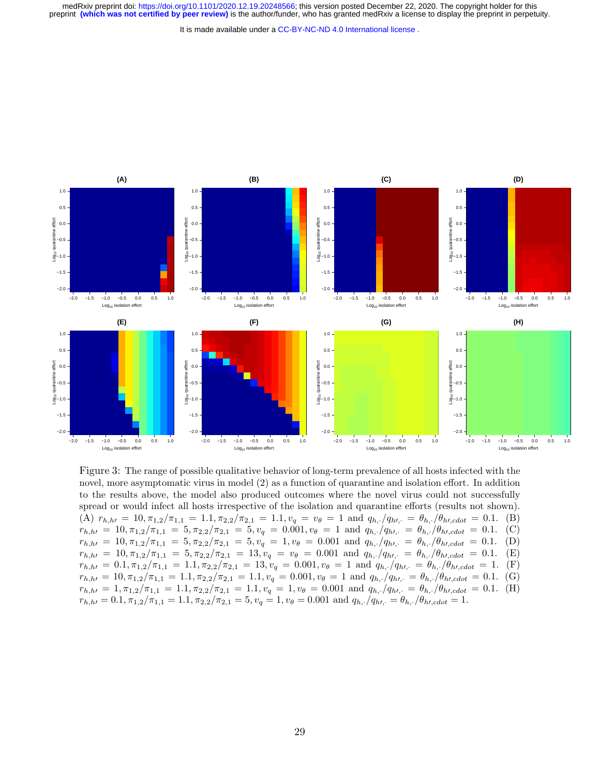It is made available under a CC-BY-NC-ND 4.0 International license.



Figure 3: The range of possible qualitative behavior of long-term prevalence of all hosts infected with the novel, more asymptomatic virus in model (2) as a function of quarantine and isolation effort. In addition to the results above, the model also produced outcomes where the novel virus could not successfully spread or would infect all hosts irrespective of the isolation and quarantine efforts (results not shown). (A)  $r_{h,h} = 10, \pi_{1,2}/\pi_{1,1} = 1.1, \pi_{2,2}/\pi_{2,1} = 1.1, v_q = v_\theta = 1$  and  $q_{h,\cdot}/q_{h\prime,\cdot} = \theta_{h,\cdot}/\theta_{h\prime, cdot} = 0.1$ . (B)  $r_{h,h} = 10, \pi_{1,2}/\pi_{1,1} = 5, \pi_{2,2}/\pi_{2,1} = 5, v_q = 0.001, v_\theta = 1$  and  $q_{h,\cdot}/q_{h\prime,\cdot} = \theta_{h,\cdot}/\theta_{h\prime, cdot} = 0.1$ . (C)  $r_{h,h} = 10, \pi_{1,2}/\pi_{1,1} = 5, \pi_{2,2}/\pi_{2,1} = 5, v_q = 1, v_\theta = 0.001$  and  $q_{h,\cdot}/q_{h\prime,\cdot} = \theta_{h,\cdot}/\theta_{h\prime, cdot} = 0.1.$  (D)  $r_{h,h} = 10, \pi_{1,2}/\pi_{1,1} = 5, \pi_{2,2}/\pi_{2,1} = 13, v_q = v_\theta = 0.001$  and  $q_{h,\cdot}/q_{h\prime,\cdot} = \theta_{h,\cdot}/\theta_{h\prime,cdot} = 0.1.$  (E)  $r_{h,h} = 0.1, \pi_{1,2}/\pi_{1,1} = 1.1, \pi_{2,2}/\pi_{2,1} = 13, v_q = 0.001, v_\theta = 1$  and  $q_{h,\cdot}/q_{h\prime,\cdot} = \theta_{h,\cdot}/\theta_{h\prime, cdot} = 1$ . (F)  $r_{h,h} = 10, \pi_{1,2}/\pi_{1,1} = 1.1, \pi_{2,2}/\pi_{2,1} = 1.1, v_q = 0.001, v_\theta = 1$  and  $q_{h,\cdot}/q_{h\prime,\cdot} = \theta_{h,\cdot}/\theta_{h\prime, cdot} = 0.1.$  (G)  $r_{h, h} = 1, \pi_{1,2}/\pi_{1,1} = 1.1, \pi_{2,2}/\pi_{2,1} = 1.1, v_q = 1, v_\theta = 0.001$  and  $q_{h, \cdot}/q_{h, \cdot} = \theta_{h, \cdot}/\theta_{h, cdot} = 0.1.$  (H)  $r_{h,h} = 0.1, \pi_{1,2}/\pi_{1,1} = 1.1, \pi_{2,2}/\pi_{2,1} = 5, v_q = 1, v_\theta = 0.001$  and  $q_{h,\cdot}/q_{h\prime,\cdot} = \theta_{h,\cdot}/\theta_{h\prime, cdot} = 1.$